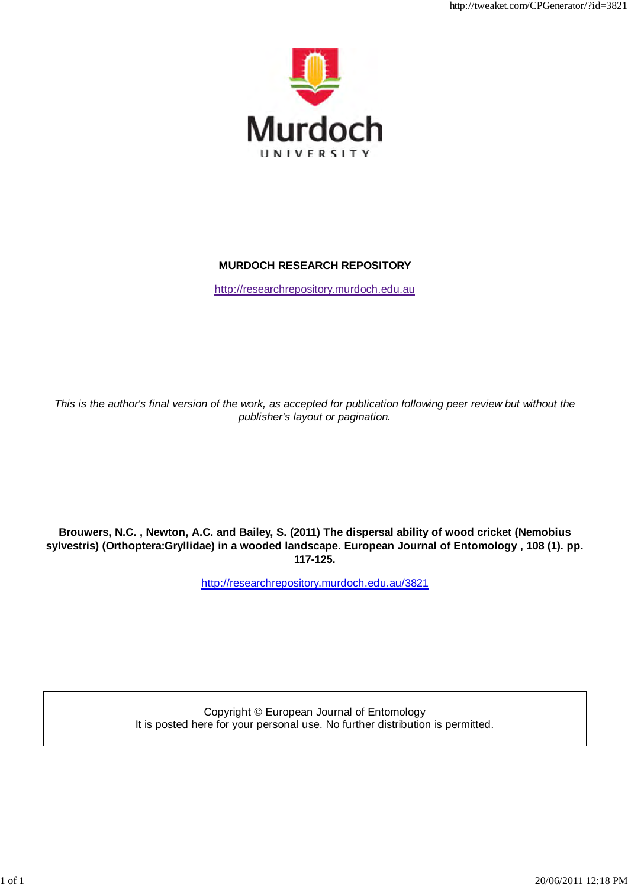

http://tweaket.com/CPGenerator/2012/07/2012

## **MURDOCH RESEARCH REPOSITORY**

http://researchrepository.murdoch.edu.au

*This is the author's final version of the work, as accepted for publication following peer review but without the publisher's layout or pagination.*

**Brouwers, N.C. , Newton, A.C. and Bailey, S. (2011) The dispersal ability of wood cricket (Nemobius sylvestris) (Orthoptera:Gryllidae) in a wooded landscape. European Journal of Entomology , 108 (1). pp. 117-125.**

http://researchrepository.murdoch.edu.au/3821

Copyright © European Journal of Entomology It is posted here for your personal use. No further distribution is permitted.

1 of 1 2006 1 of 1 2006 1 2006 1 2006 1 2006 1 2006 1 2006 1 2006 1 2006 1 2006 1 2006 1 2006 1 2006 1 2006 1 2006 1 2006 1 2006 1 2006 1 2006 1 2006 1 2006 1 2006 1 2006 1 2006 1 2006 1 2006 1 2006 1 2006 1 2006 1 2006 1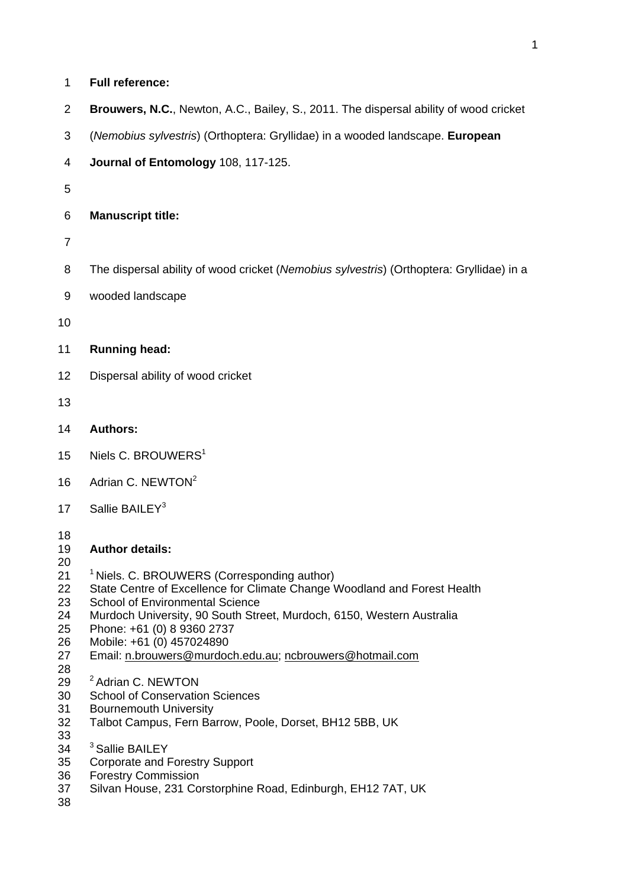| 1                                                                                                  | <b>Full reference:</b>                                                                                                                                                                                                                                                                                                                                                                                                                                                                                                                                                                                      |
|----------------------------------------------------------------------------------------------------|-------------------------------------------------------------------------------------------------------------------------------------------------------------------------------------------------------------------------------------------------------------------------------------------------------------------------------------------------------------------------------------------------------------------------------------------------------------------------------------------------------------------------------------------------------------------------------------------------------------|
| $\overline{2}$                                                                                     | Brouwers, N.C., Newton, A.C., Bailey, S., 2011. The dispersal ability of wood cricket                                                                                                                                                                                                                                                                                                                                                                                                                                                                                                                       |
| 3                                                                                                  | (Nemobius sylvestris) (Orthoptera: Gryllidae) in a wooded landscape. European                                                                                                                                                                                                                                                                                                                                                                                                                                                                                                                               |
| 4                                                                                                  | Journal of Entomology 108, 117-125.                                                                                                                                                                                                                                                                                                                                                                                                                                                                                                                                                                         |
| 5                                                                                                  |                                                                                                                                                                                                                                                                                                                                                                                                                                                                                                                                                                                                             |
| 6                                                                                                  | <b>Manuscript title:</b>                                                                                                                                                                                                                                                                                                                                                                                                                                                                                                                                                                                    |
| $\overline{7}$                                                                                     |                                                                                                                                                                                                                                                                                                                                                                                                                                                                                                                                                                                                             |
| 8                                                                                                  | The dispersal ability of wood cricket (Nemobius sylvestris) (Orthoptera: Gryllidae) in a                                                                                                                                                                                                                                                                                                                                                                                                                                                                                                                    |
| 9                                                                                                  | wooded landscape                                                                                                                                                                                                                                                                                                                                                                                                                                                                                                                                                                                            |
| 10                                                                                                 |                                                                                                                                                                                                                                                                                                                                                                                                                                                                                                                                                                                                             |
| 11                                                                                                 | <b>Running head:</b>                                                                                                                                                                                                                                                                                                                                                                                                                                                                                                                                                                                        |
| 12                                                                                                 | Dispersal ability of wood cricket                                                                                                                                                                                                                                                                                                                                                                                                                                                                                                                                                                           |
| 13                                                                                                 |                                                                                                                                                                                                                                                                                                                                                                                                                                                                                                                                                                                                             |
| 14                                                                                                 | <b>Authors:</b>                                                                                                                                                                                                                                                                                                                                                                                                                                                                                                                                                                                             |
| 15                                                                                                 | Niels C. BROUWERS <sup>1</sup>                                                                                                                                                                                                                                                                                                                                                                                                                                                                                                                                                                              |
| 16                                                                                                 | Adrian C. NEWTON <sup>2</sup>                                                                                                                                                                                                                                                                                                                                                                                                                                                                                                                                                                               |
| 17                                                                                                 | Sallie BAILEY <sup>3</sup>                                                                                                                                                                                                                                                                                                                                                                                                                                                                                                                                                                                  |
| 18<br>19<br>20<br>21<br>22<br>23<br>24<br>25<br>26<br>27<br>28<br>29<br>30<br>31<br>32<br>33<br>34 | <b>Author details:</b><br><sup>1</sup> Niels. C. BROUWERS (Corresponding author)<br>State Centre of Excellence for Climate Change Woodland and Forest Health<br><b>School of Environmental Science</b><br>Murdoch University, 90 South Street, Murdoch, 6150, Western Australia<br>Phone: +61 (0) 8 9360 2737<br>Mobile: +61 (0) 457024890<br>Email: n.brouwers@murdoch.edu.au; ncbrouwers@hotmail.com<br><sup>2</sup> Adrian C. NEWTON<br><b>School of Conservation Sciences</b><br><b>Bournemouth University</b><br>Talbot Campus, Fern Barrow, Poole, Dorset, BH12 5BB, UK<br><sup>3</sup> Sallie BAILEY |
| 35<br>36<br>37<br>38                                                                               | <b>Corporate and Forestry Support</b><br><b>Forestry Commission</b><br>Silvan House, 231 Corstorphine Road, Edinburgh, EH12 7AT, UK                                                                                                                                                                                                                                                                                                                                                                                                                                                                         |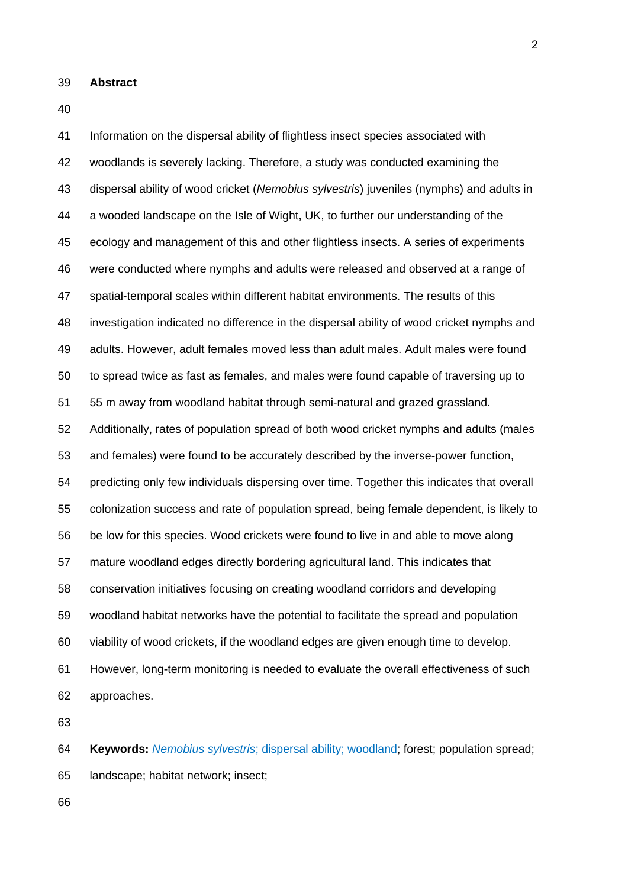- 39 **Abstract**
- 40

41 Information on the dispersal ability of flightless insect species associated with 42 woodlands is severely lacking. Therefore, a study was conducted examining the 43 dispersal ability of wood cricket (*Nemobius sylvestris*) juveniles (nymphs) and adults in 44 a wooded landscape on the Isle of Wight, UK, to further our understanding of the 45 ecology and management of this and other flightless insects. A series of experiments 46 were conducted where nymphs and adults were released and observed at a range of 47 spatial-temporal scales within different habitat environments. The results of this 48 investigation indicated no difference in the dispersal ability of wood cricket nymphs and 49 adults. However, adult females moved less than adult males. Adult males were found 50 to spread twice as fast as females, and males were found capable of traversing up to 51 55 m away from woodland habitat through semi-natural and grazed grassland. 52 Additionally, rates of population spread of both wood cricket nymphs and adults (males 53 and females) were found to be accurately described by the inverse-power function, 54 predicting only few individuals dispersing over time. Together this indicates that overall 55 colonization success and rate of population spread, being female dependent, is likely to 56 be low for this species. Wood crickets were found to live in and able to move along 57 mature woodland edges directly bordering agricultural land. This indicates that 58 conservation initiatives focusing on creating woodland corridors and developing 59 woodland habitat networks have the potential to facilitate the spread and population 60 viability of wood crickets, if the woodland edges are given enough time to develop. 61 However, long-term monitoring is needed to evaluate the overall effectiveness of such 62 approaches.

63

64 **Keywords:** *Nemobius sylvestris*; dispersal ability; woodland; forest; population spread; 65 landscape; habitat network; insect;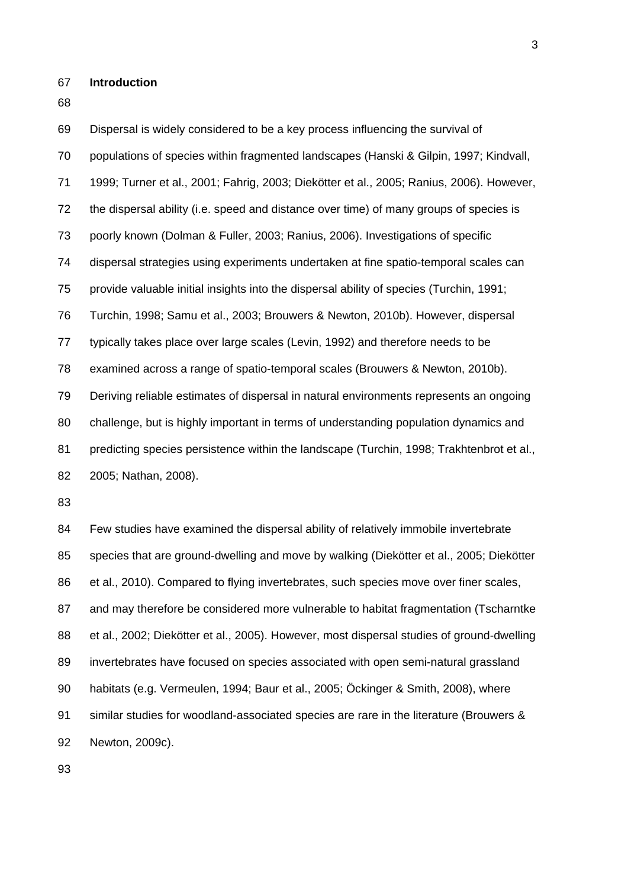67 **Introduction** 

68

69 Dispersal is widely considered to be a key process influencing the survival of 70 populations of species within fragmented landscapes (Hanski & Gilpin, 1997; Kindvall, 71 1999; Turner et al., 2001; Fahrig, 2003; Diekötter et al., 2005; Ranius, 2006). However, 72 the dispersal ability (i.e. speed and distance over time) of many groups of species is 73 poorly known (Dolman & Fuller, 2003; Ranius, 2006). Investigations of specific 74 dispersal strategies using experiments undertaken at fine spatio-temporal scales can 75 provide valuable initial insights into the dispersal ability of species (Turchin, 1991; 76 Turchin, 1998; Samu et al., 2003; Brouwers & Newton, 2010b). However, dispersal 77 typically takes place over large scales (Levin, 1992) and therefore needs to be 78 examined across a range of spatio-temporal scales (Brouwers & Newton, 2010b). 79 Deriving reliable estimates of dispersal in natural environments represents an ongoing 80 challenge, but is highly important in terms of understanding population dynamics and 81 predicting species persistence within the landscape (Turchin, 1998; Trakhtenbrot et al., 82 2005; Nathan, 2008).

83

84 Few studies have examined the dispersal ability of relatively immobile invertebrate 85 species that are ground-dwelling and move by walking (Diekötter et al., 2005; Diekötter 86 et al., 2010). Compared to flying invertebrates, such species move over finer scales, 87 and may therefore be considered more vulnerable to habitat fragmentation (Tscharntke 88 et al., 2002; Diekötter et al., 2005). However, most dispersal studies of ground-dwelling 89 invertebrates have focused on species associated with open semi-natural grassland 90 habitats (e.g. Vermeulen, 1994; Baur et al., 2005; Öckinger & Smith, 2008), where 91 similar studies for woodland-associated species are rare in the literature (Brouwers & 92 Newton, 2009c).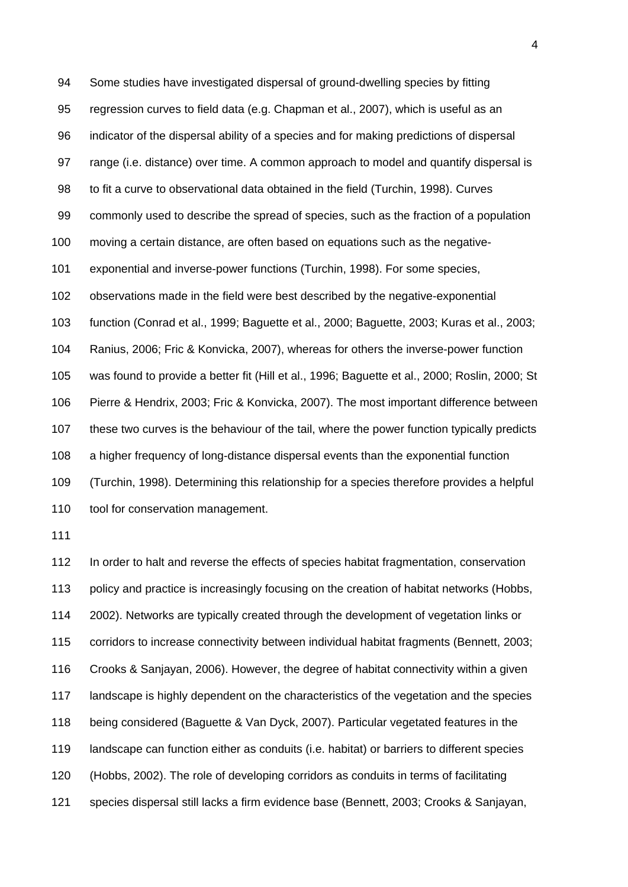94 Some studies have investigated dispersal of ground-dwelling species by fitting 95 regression curves to field data (e.g. Chapman et al., 2007), which is useful as an 96 indicator of the dispersal ability of a species and for making predictions of dispersal 97 range (i.e. distance) over time. A common approach to model and quantify dispersal is 98 to fit a curve to observational data obtained in the field (Turchin, 1998). Curves 99 commonly used to describe the spread of species, such as the fraction of a population 100 moving a certain distance, are often based on equations such as the negative-101 exponential and inverse-power functions (Turchin, 1998). For some species, 102 observations made in the field were best described by the negative-exponential 103 function (Conrad et al., 1999; Baguette et al., 2000; Baguette, 2003; Kuras et al., 2003; 104 Ranius, 2006; Fric & Konvicka, 2007), whereas for others the inverse-power function 105 was found to provide a better fit (Hill et al., 1996; Baguette et al., 2000; Roslin, 2000; St 106 Pierre & Hendrix, 2003; Fric & Konvicka, 2007). The most important difference between 107 these two curves is the behaviour of the tail, where the power function typically predicts 108 a higher frequency of long-distance dispersal events than the exponential function 109 (Turchin, 1998). Determining this relationship for a species therefore provides a helpful 110 tool for conservation management.

111

112 In order to halt and reverse the effects of species habitat fragmentation, conservation 113 policy and practice is increasingly focusing on the creation of habitat networks (Hobbs, 114 2002). Networks are typically created through the development of vegetation links or 115 corridors to increase connectivity between individual habitat fragments (Bennett, 2003; 116 Crooks & Sanjayan, 2006). However, the degree of habitat connectivity within a given 117 landscape is highly dependent on the characteristics of the vegetation and the species 118 being considered (Baguette & Van Dyck, 2007). Particular vegetated features in the 119 landscape can function either as conduits (i.e. habitat) or barriers to different species 120 (Hobbs, 2002). The role of developing corridors as conduits in terms of facilitating 121 species dispersal still lacks a firm evidence base (Bennett, 2003; Crooks & Sanjayan,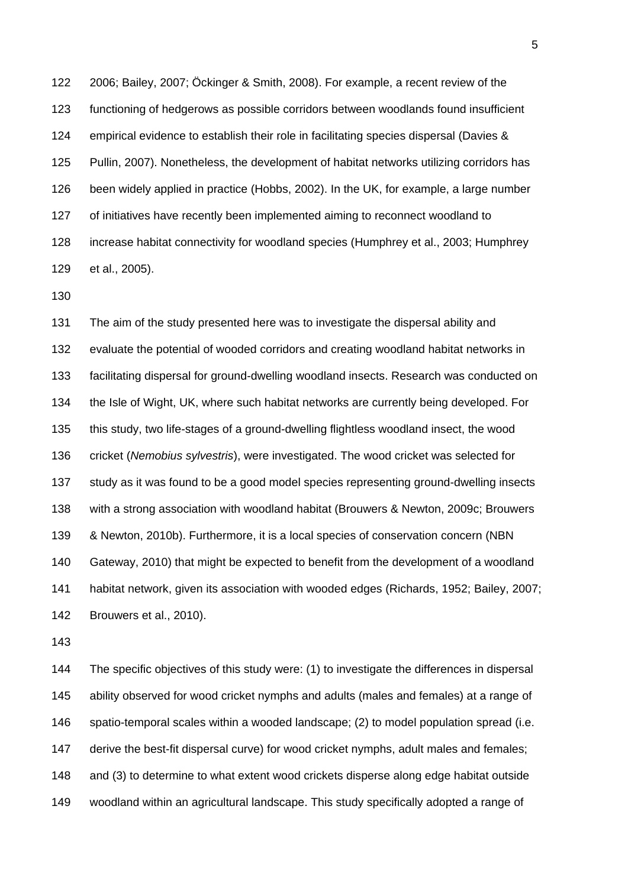122 2006; Bailey, 2007; Öckinger & Smith, 2008). For example, a recent review of the 123 functioning of hedgerows as possible corridors between woodlands found insufficient 124 empirical evidence to establish their role in facilitating species dispersal (Davies & 125 Pullin, 2007). Nonetheless, the development of habitat networks utilizing corridors has 126 been widely applied in practice (Hobbs, 2002). In the UK, for example, a large number 127 of initiatives have recently been implemented aiming to reconnect woodland to 128 increase habitat connectivity for woodland species (Humphrey et al., 2003; Humphrey 129 et al., 2005).

130

131 The aim of the study presented here was to investigate the dispersal ability and 132 evaluate the potential of wooded corridors and creating woodland habitat networks in 133 facilitating dispersal for ground-dwelling woodland insects. Research was conducted on 134 the Isle of Wight, UK, where such habitat networks are currently being developed. For 135 this study, two life-stages of a ground-dwelling flightless woodland insect, the wood 136 cricket (*Nemobius sylvestris*), were investigated. The wood cricket was selected for 137 study as it was found to be a good model species representing ground-dwelling insects 138 with a strong association with woodland habitat (Brouwers & Newton, 2009c; Brouwers 139 & Newton, 2010b). Furthermore, it is a local species of conservation concern (NBN 140 Gateway, 2010) that might be expected to benefit from the development of a woodland 141 habitat network, given its association with wooded edges (Richards, 1952; Bailey, 2007; 142 Brouwers et al., 2010).

143

144 The specific objectives of this study were: (1) to investigate the differences in dispersal 145 ability observed for wood cricket nymphs and adults (males and females) at a range of 146 spatio-temporal scales within a wooded landscape; (2) to model population spread (i.e. 147 derive the best-fit dispersal curve) for wood cricket nymphs, adult males and females; 148 and (3) to determine to what extent wood crickets disperse along edge habitat outside 149 woodland within an agricultural landscape. This study specifically adopted a range of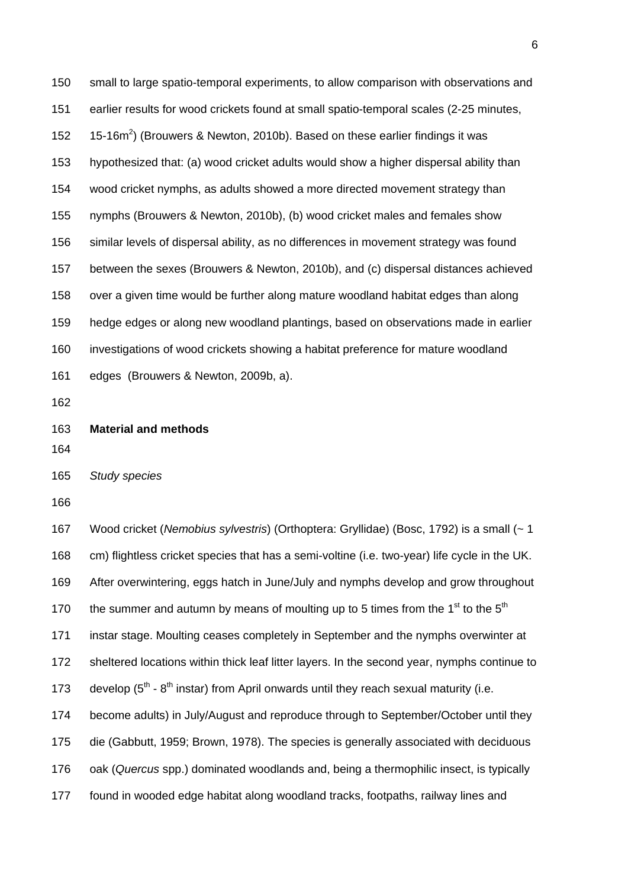150 small to large spatio-temporal experiments, to allow comparison with observations and 151 earlier results for wood crickets found at small spatio-temporal scales (2-25 minutes, 152 15-16m<sup>2</sup>) (Brouwers & Newton, 2010b). Based on these earlier findings it was 153 hypothesized that: (a) wood cricket adults would show a higher dispersal ability than 154 wood cricket nymphs, as adults showed a more directed movement strategy than 155 nymphs (Brouwers & Newton, 2010b), (b) wood cricket males and females show 156 similar levels of dispersal ability, as no differences in movement strategy was found 157 between the sexes (Brouwers & Newton, 2010b), and (c) dispersal distances achieved 158 over a given time would be further along mature woodland habitat edges than along 159 hedge edges or along new woodland plantings, based on observations made in earlier 160 investigations of wood crickets showing a habitat preference for mature woodland 161 edges (Brouwers & Newton, 2009b, a).

162

163 **Material and methods** 

164

165 *Study species* 

166

167 Wood cricket (*Nemobius sylvestris*) (Orthoptera: Gryllidae) (Bosc, 1792) is a small (~ 1 168 cm) flightless cricket species that has a semi-voltine (i.e. two-year) life cycle in the UK. 169 After overwintering, eggs hatch in June/July and nymphs develop and grow throughout 170 the summer and autumn by means of moulting up to 5 times from the 1<sup>st</sup> to the 5<sup>th</sup> 171 instar stage. Moulting ceases completely in September and the nymphs overwinter at 172 sheltered locations within thick leaf litter layers. In the second year, nymphs continue to 173 develop  $(5<sup>th</sup> - 8<sup>th</sup>$  instar) from April onwards until they reach sexual maturity (i.e. 174 become adults) in July/August and reproduce through to September/October until they 175 die (Gabbutt, 1959; Brown, 1978). The species is generally associated with deciduous 176 oak (*Quercus* spp.) dominated woodlands and, being a thermophilic insect, is typically 177 found in wooded edge habitat along woodland tracks, footpaths, railway lines and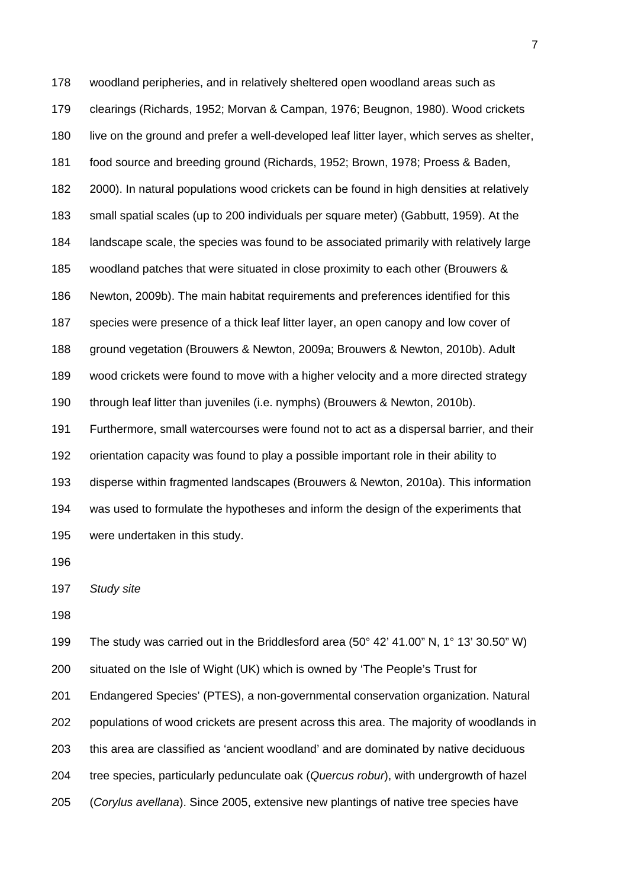178 woodland peripheries, and in relatively sheltered open woodland areas such as 179 clearings (Richards, 1952; Morvan & Campan, 1976; Beugnon, 1980). Wood crickets 180 live on the ground and prefer a well-developed leaf litter layer, which serves as shelter, 181 food source and breeding ground (Richards, 1952; Brown, 1978; Proess & Baden, 182 2000). In natural populations wood crickets can be found in high densities at relatively 183 small spatial scales (up to 200 individuals per square meter) (Gabbutt, 1959). At the 184 landscape scale, the species was found to be associated primarily with relatively large 185 woodland patches that were situated in close proximity to each other (Brouwers & 186 Newton, 2009b). The main habitat requirements and preferences identified for this 187 species were presence of a thick leaf litter layer, an open canopy and low cover of 188 ground vegetation (Brouwers & Newton, 2009a; Brouwers & Newton, 2010b). Adult 189 wood crickets were found to move with a higher velocity and a more directed strategy 190 through leaf litter than juveniles (i.e. nymphs) (Brouwers & Newton, 2010b). 191 Furthermore, small watercourses were found not to act as a dispersal barrier, and their 192 orientation capacity was found to play a possible important role in their ability to 193 disperse within fragmented landscapes (Brouwers & Newton, 2010a). This information 194 was used to formulate the hypotheses and inform the design of the experiments that 195 were undertaken in this study.

196

197 *Study site* 

198

199 The study was carried out in the Briddlesford area (50° 42' 41.00" N, 1° 13' 30.50" W) 200 situated on the Isle of Wight (UK) which is owned by 'The People's Trust for 201 Endangered Species' (PTES), a non-governmental conservation organization. Natural 202 populations of wood crickets are present across this area. The majority of woodlands in 203 this area are classified as 'ancient woodland' and are dominated by native deciduous 204 tree species, particularly pedunculate oak (*Quercus robur*), with undergrowth of hazel 205 (*Corylus avellana*). Since 2005, extensive new plantings of native tree species have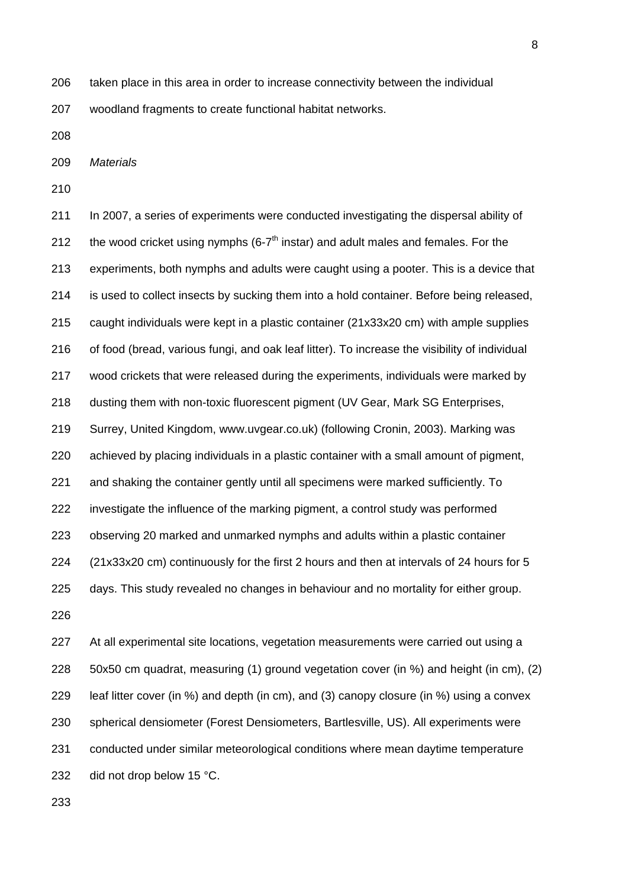206 taken place in this area in order to increase connectivity between the individual

207 woodland fragments to create functional habitat networks.

208

209 *Materials* 

210

211 In 2007, a series of experiments were conducted investigating the dispersal ability of 212 the wood cricket using nymphs (6- $7<sup>th</sup>$  instar) and adult males and females. For the 213 experiments, both nymphs and adults were caught using a pooter. This is a device that 214 is used to collect insects by sucking them into a hold container. Before being released, 215 caught individuals were kept in a plastic container (21x33x20 cm) with ample supplies 216 of food (bread, various fungi, and oak leaf litter). To increase the visibility of individual 217 wood crickets that were released during the experiments, individuals were marked by 218 dusting them with non-toxic fluorescent pigment (UV Gear, Mark SG Enterprises, 219 Surrey, United Kingdom, www.uvgear.co.uk) (following Cronin, 2003). Marking was 220 achieved by placing individuals in a plastic container with a small amount of pigment, 221 and shaking the container gently until all specimens were marked sufficiently. To 222 investigate the influence of the marking pigment, a control study was performed 223 observing 20 marked and unmarked nymphs and adults within a plastic container 224 (21x33x20 cm) continuously for the first 2 hours and then at intervals of 24 hours for 5 225 days. This study revealed no changes in behaviour and no mortality for either group. 226

227 At all experimental site locations, vegetation measurements were carried out using a 228 50x50 cm quadrat, measuring (1) ground vegetation cover (in %) and height (in cm), (2) 229 leaf litter cover (in %) and depth (in cm), and (3) canopy closure (in %) using a convex 230 spherical densiometer (Forest Densiometers, Bartlesville, US). All experiments were 231 conducted under similar meteorological conditions where mean daytime temperature 232 did not drop below 15 °C.

8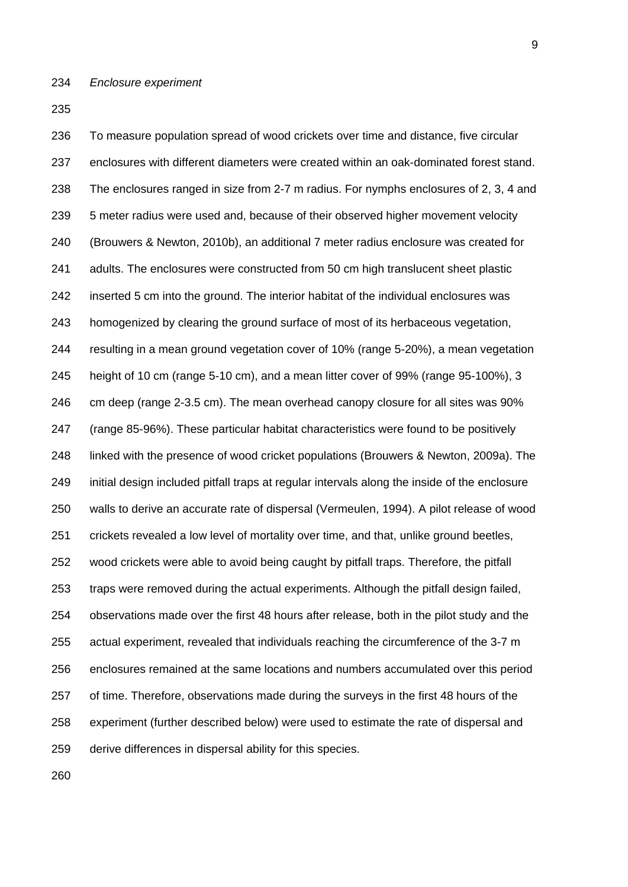236 To measure population spread of wood crickets over time and distance, five circular 237 enclosures with different diameters were created within an oak-dominated forest stand. 238 The enclosures ranged in size from 2-7 m radius. For nymphs enclosures of 2, 3, 4 and 239 5 meter radius were used and, because of their observed higher movement velocity 240 (Brouwers & Newton, 2010b), an additional 7 meter radius enclosure was created for 241 adults. The enclosures were constructed from 50 cm high translucent sheet plastic 242 inserted 5 cm into the ground. The interior habitat of the individual enclosures was 243 homogenized by clearing the ground surface of most of its herbaceous vegetation, 244 resulting in a mean ground vegetation cover of 10% (range 5-20%), a mean vegetation 245 height of 10 cm (range 5-10 cm), and a mean litter cover of 99% (range 95-100%), 3 246 cm deep (range 2-3.5 cm). The mean overhead canopy closure for all sites was 90% 247 (range 85-96%). These particular habitat characteristics were found to be positively 248 linked with the presence of wood cricket populations (Brouwers & Newton, 2009a). The 249 initial design included pitfall traps at regular intervals along the inside of the enclosure 250 walls to derive an accurate rate of dispersal (Vermeulen, 1994). A pilot release of wood 251 crickets revealed a low level of mortality over time, and that, unlike ground beetles, 252 wood crickets were able to avoid being caught by pitfall traps. Therefore, the pitfall 253 traps were removed during the actual experiments. Although the pitfall design failed, 254 observations made over the first 48 hours after release, both in the pilot study and the 255 actual experiment, revealed that individuals reaching the circumference of the 3-7 m 256 enclosures remained at the same locations and numbers accumulated over this period 257 of time. Therefore, observations made during the surveys in the first 48 hours of the 258 experiment (further described below) were used to estimate the rate of dispersal and 259 derive differences in dispersal ability for this species.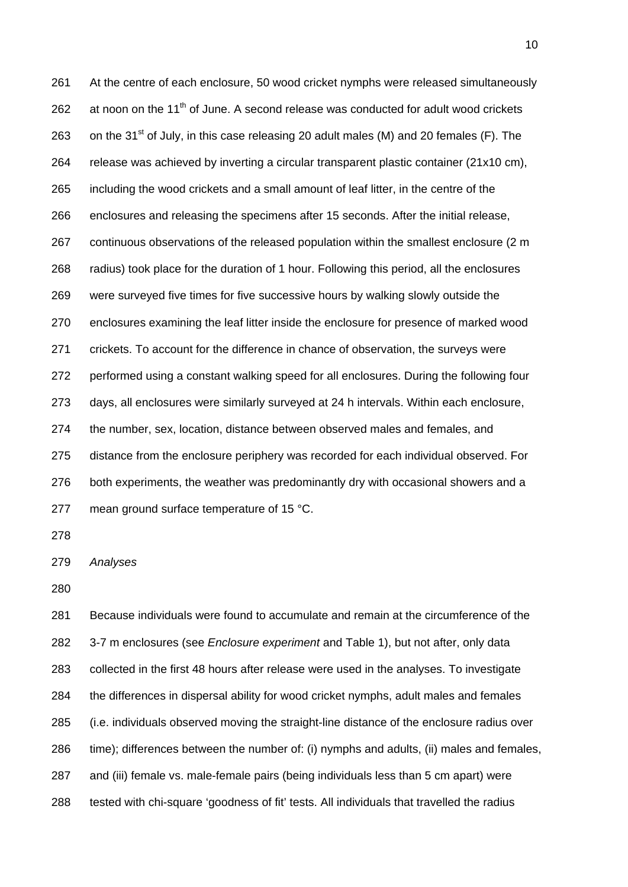261 At the centre of each enclosure, 50 wood cricket nymphs were released simultaneously  $262$  at noon on the 11<sup>th</sup> of June. A second release was conducted for adult wood crickets 263 on the 31 $^{\text{st}}$  of July, in this case releasing 20 adult males (M) and 20 females (F). The 264 release was achieved by inverting a circular transparent plastic container (21x10 cm), 265 including the wood crickets and a small amount of leaf litter, in the centre of the 266 enclosures and releasing the specimens after 15 seconds. After the initial release, 267 continuous observations of the released population within the smallest enclosure (2 m 268 radius) took place for the duration of 1 hour. Following this period, all the enclosures 269 were surveyed five times for five successive hours by walking slowly outside the 270 enclosures examining the leaf litter inside the enclosure for presence of marked wood 271 crickets. To account for the difference in chance of observation, the surveys were 272 performed using a constant walking speed for all enclosures. During the following four 273 days, all enclosures were similarly surveyed at 24 h intervals. Within each enclosure, 274 the number, sex, location, distance between observed males and females, and 275 distance from the enclosure periphery was recorded for each individual observed. For 276 both experiments, the weather was predominantly dry with occasional showers and a 277 mean ground surface temperature of 15 °C.

278

279 *Analyses* 

280

281 Because individuals were found to accumulate and remain at the circumference of the 282 3-7 m enclosures (see *Enclosure experiment* and Table 1), but not after, only data 283 collected in the first 48 hours after release were used in the analyses. To investigate 284 the differences in dispersal ability for wood cricket nymphs, adult males and females 285 (i.e. individuals observed moving the straight-line distance of the enclosure radius over 286 time); differences between the number of: (i) nymphs and adults, (ii) males and females, 287 and (iii) female vs. male-female pairs (being individuals less than 5 cm apart) were 288 tested with chi-square 'goodness of fit' tests. All individuals that travelled the radius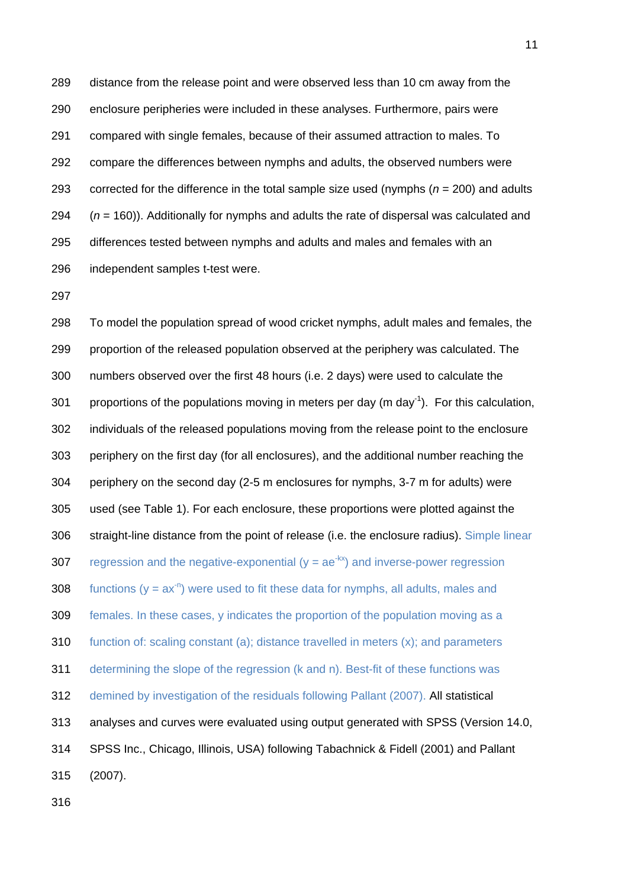289 distance from the release point and were observed less than 10 cm away from the 290 enclosure peripheries were included in these analyses. Furthermore, pairs were 291 compared with single females, because of their assumed attraction to males. To 292 compare the differences between nymphs and adults, the observed numbers were 293 corrected for the difference in the total sample size used (nymphs  $(n = 200)$  and adults 294 (*n* = 160)). Additionally for nymphs and adults the rate of dispersal was calculated and 295 differences tested between nymphs and adults and males and females with an 296 independent samples t-test were.

297

298 To model the population spread of wood cricket nymphs, adult males and females, the 299 proportion of the released population observed at the periphery was calculated. The 300 numbers observed over the first 48 hours (i.e. 2 days) were used to calculate the 301 proportions of the populations moving in meters per day (m day<sup>-1</sup>). For this calculation, 302 individuals of the released populations moving from the release point to the enclosure 303 periphery on the first day (for all enclosures), and the additional number reaching the 304 periphery on the second day (2-5 m enclosures for nymphs, 3-7 m for adults) were 305 used (see Table 1). For each enclosure, these proportions were plotted against the 306 straight-line distance from the point of release (i.e. the enclosure radius). Simple linear 307 regression and the negative-exponential ( $y = ae^{-kx}$ ) and inverse-power regression 308 functions ( $y = ax^{-n}$ ) were used to fit these data for nymphs, all adults, males and 309 females. In these cases, y indicates the proportion of the population moving as a 310 function of: scaling constant (a); distance travelled in meters (x); and parameters 311 determining the slope of the regression (k and n). Best-fit of these functions was 312 demined by investigation of the residuals following Pallant (2007). All statistical 313 analyses and curves were evaluated using output generated with SPSS (Version 14.0, 314 SPSS Inc., Chicago, Illinois, USA) following Tabachnick & Fidell (2001) and Pallant 315 (2007).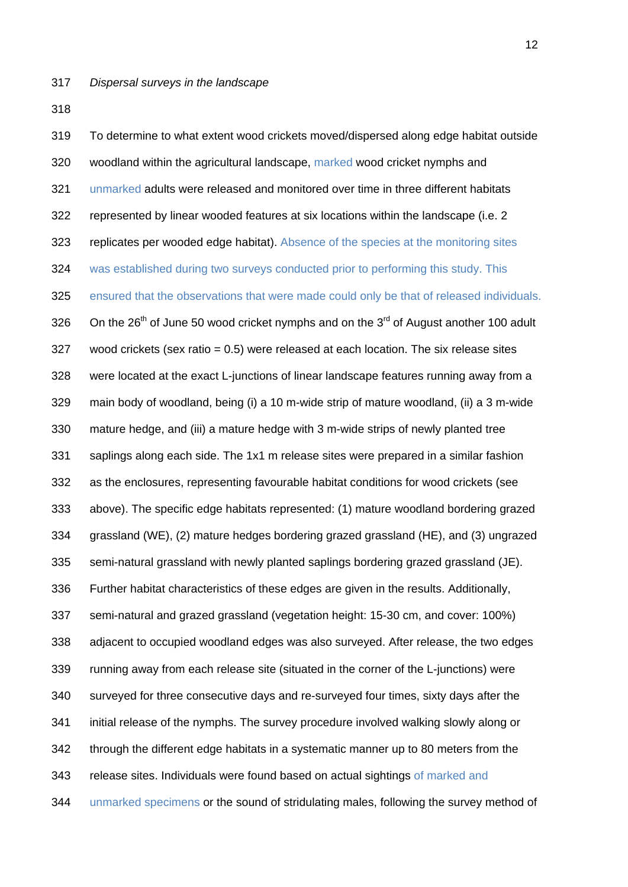319 To determine to what extent wood crickets moved/dispersed along edge habitat outside 320 woodland within the agricultural landscape, marked wood cricket nymphs and 321 unmarked adults were released and monitored over time in three different habitats 322 represented by linear wooded features at six locations within the landscape (i.e. 2 323 replicates per wooded edge habitat). Absence of the species at the monitoring sites 324 was established during two surveys conducted prior to performing this study. This 325 ensured that the observations that were made could only be that of released individuals. 326 On the 26<sup>th</sup> of June 50 wood cricket nymphs and on the 3<sup>rd</sup> of August another 100 adult 327 wood crickets (sex ratio = 0.5) were released at each location. The six release sites 328 were located at the exact L-junctions of linear landscape features running away from a 329 main body of woodland, being (i) a 10 m-wide strip of mature woodland, (ii) a 3 m-wide 330 mature hedge, and (iii) a mature hedge with 3 m-wide strips of newly planted tree 331 saplings along each side. The 1x1 m release sites were prepared in a similar fashion 332 as the enclosures, representing favourable habitat conditions for wood crickets (see 333 above). The specific edge habitats represented: (1) mature woodland bordering grazed 334 grassland (WE), (2) mature hedges bordering grazed grassland (HE), and (3) ungrazed 335 semi-natural grassland with newly planted saplings bordering grazed grassland (JE). 336 Further habitat characteristics of these edges are given in the results. Additionally, 337 semi-natural and grazed grassland (vegetation height: 15-30 cm, and cover: 100%) 338 adjacent to occupied woodland edges was also surveyed. After release, the two edges 339 running away from each release site (situated in the corner of the L-junctions) were 340 surveyed for three consecutive days and re-surveyed four times, sixty days after the 341 initial release of the nymphs. The survey procedure involved walking slowly along or 342 through the different edge habitats in a systematic manner up to 80 meters from the 343 release sites. Individuals were found based on actual sightings of marked and 344 unmarked specimens or the sound of stridulating males, following the survey method of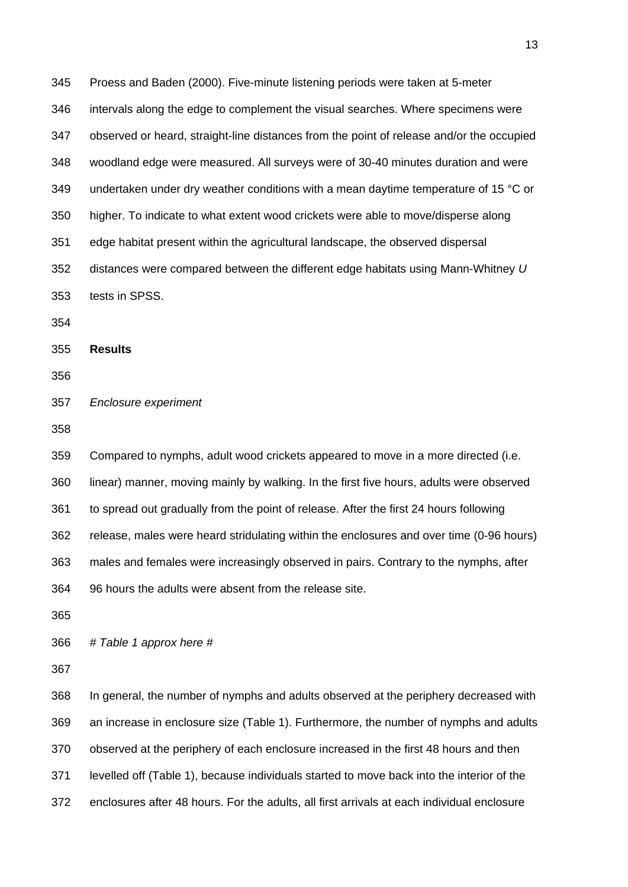345 Proess and Baden (2000). Five-minute listening periods were taken at 5-meter 346 intervals along the edge to complement the visual searches. Where specimens were 347 observed or heard, straight-line distances from the point of release and/or the occupied 348 woodland edge were measured. All surveys were of 30-40 minutes duration and were 349 undertaken under dry weather conditions with a mean daytime temperature of 15  $^{\circ}$ C or 350 higher. To indicate to what extent wood crickets were able to move/disperse along 351 edge habitat present within the agricultural landscape, the observed dispersal 352 distances were compared between the different edge habitats using Mann-Whitney *U*  353 tests in SPSS. 354 355 **Results**  356 357 *Enclosure experiment*  358 359 Compared to nymphs, adult wood crickets appeared to move in a more directed (i.e. 360 linear) manner, moving mainly by walking. In the first five hours, adults were observed 361 to spread out gradually from the point of release. After the first 24 hours following 362 release, males were heard stridulating within the enclosures and over time (0-96 hours) 363 males and females were increasingly observed in pairs. Contrary to the nymphs, after 364 96 hours the adults were absent from the release site. 365 366 *# Table 1 approx here #*  367

368 In general, the number of nymphs and adults observed at the periphery decreased with 369 an increase in enclosure size (Table 1). Furthermore, the number of nymphs and adults 370 observed at the periphery of each enclosure increased in the first 48 hours and then 371 levelled off (Table 1), because individuals started to move back into the interior of the 372 enclosures after 48 hours. For the adults, all first arrivals at each individual enclosure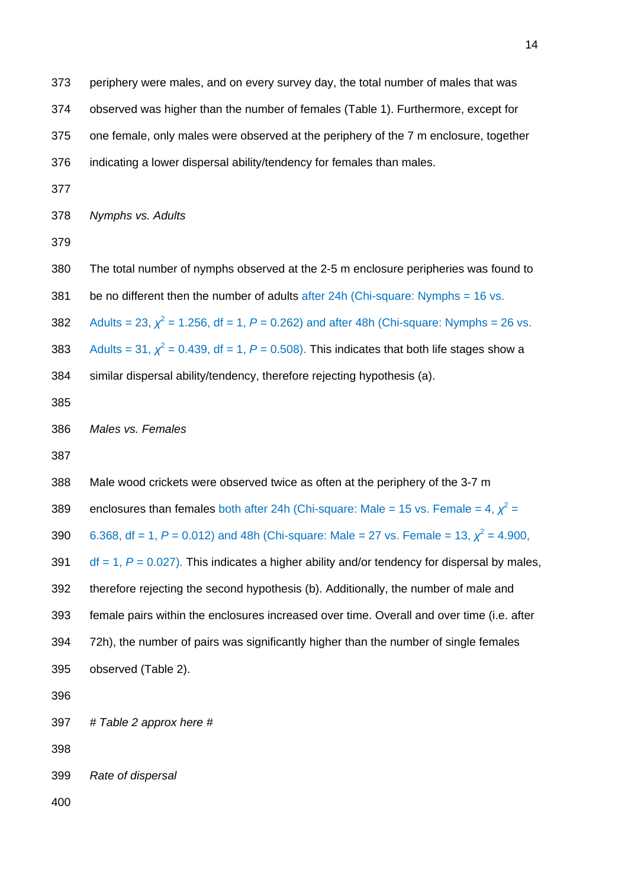| 373 | periphery were males, and on every survey day, the total number of males that was                 |
|-----|---------------------------------------------------------------------------------------------------|
| 374 | observed was higher than the number of females (Table 1). Furthermore, except for                 |
| 375 | one female, only males were observed at the periphery of the 7 m enclosure, together              |
| 376 | indicating a lower dispersal ability/tendency for females than males.                             |
| 377 |                                                                                                   |
| 378 | Nymphs vs. Adults                                                                                 |
| 379 |                                                                                                   |
| 380 | The total number of nymphs observed at the 2-5 m enclosure peripheries was found to               |
| 381 | be no different then the number of adults after $24h$ (Chi-square: Nymphs = 16 vs.                |
| 382 | Adults = 23, $\chi^2$ = 1.256, df = 1, P = 0.262) and after 48h (Chi-square: Nymphs = 26 vs.      |
| 383 | Adults = 31, $\chi^2$ = 0.439, df = 1, P = 0.508). This indicates that both life stages show a    |
| 384 | similar dispersal ability/tendency, therefore rejecting hypothesis (a).                           |
| 385 |                                                                                                   |
| 386 | Males vs. Females                                                                                 |
| 387 |                                                                                                   |
| 388 | Male wood crickets were observed twice as often at the periphery of the 3-7 m                     |
| 389 | enclosures than females both after 24h (Chi-square: Male = 15 vs. Female = 4, $\chi^2$ =          |
| 390 | 6.368, df = 1, P = 0.012) and 48h (Chi-square: Male = 27 vs. Female = 13, $\chi^2$ = 4.900,       |
| 391 | $df = 1$ , $P = 0.027$ ). This indicates a higher ability and/or tendency for dispersal by males, |
| 392 | therefore rejecting the second hypothesis (b). Additionally, the number of male and               |
| 393 | female pairs within the enclosures increased over time. Overall and over time (i.e. after         |
| 394 | 72h), the number of pairs was significantly higher than the number of single females              |
| 395 | observed (Table 2).                                                                               |
| 396 |                                                                                                   |
| 397 | # Table 2 approx here #                                                                           |
| 398 |                                                                                                   |
| 399 | Rate of dispersal                                                                                 |
| 400 |                                                                                                   |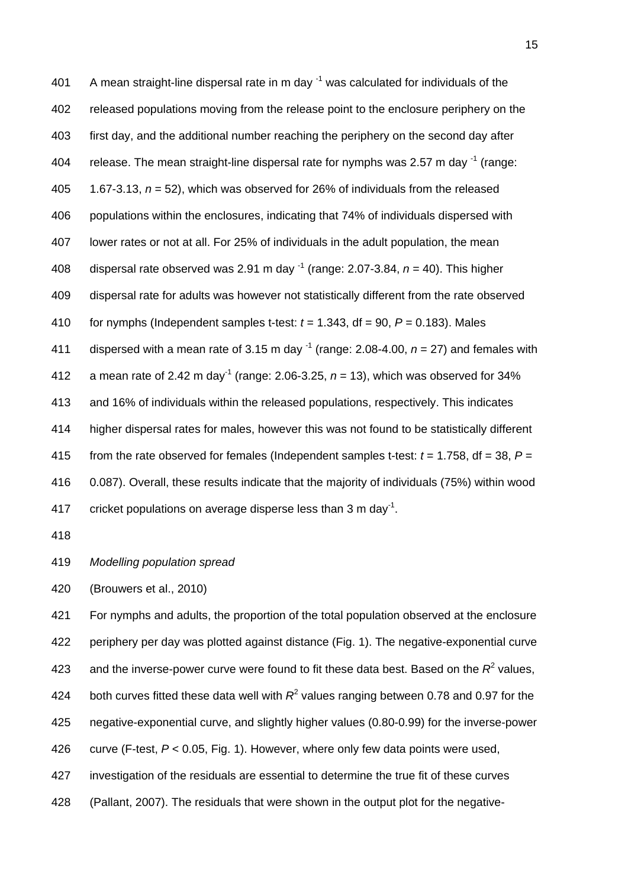401 A mean straight-line dispersal rate in m day  $^{-1}$  was calculated for individuals of the 402 released populations moving from the release point to the enclosure periphery on the 403 first day, and the additional number reaching the periphery on the second day after 404 release. The mean straight-line dispersal rate for nymphs was 2.57 m day  $^{-1}$  (range: 405 1.67-3.13, *n* = 52), which was observed for 26% of individuals from the released 406 populations within the enclosures, indicating that 74% of individuals dispersed with 407 lower rates or not at all. For 25% of individuals in the adult population, the mean 408 dispersal rate observed was 2.91 m day  $^{-1}$  (range: 2.07-3.84,  $n = 40$ ). This higher 409 dispersal rate for adults was however not statistically different from the rate observed 410 for nymphs (Independent samples t-test:  $t = 1.343$ , df = 90,  $P = 0.183$ ). Males 411 dispersed with a mean rate of 3.15 m day  $^{-1}$  (range: 2.08-4.00,  $n = 27$ ) and females with 412 a mean rate of 2.42 m day<sup>-1</sup> (range: 2.06-3.25,  $n = 13$ ), which was observed for 34% 413 and 16% of individuals within the released populations, respectively. This indicates 414 higher dispersal rates for males, however this was not found to be statistically different 415 from the rate observed for females (Independent samples t-test:  $t = 1.758$ , df = 38,  $P =$ 416 0.087). Overall, these results indicate that the majority of individuals (75%) within wood 417 cricket populations on average disperse less than 3 m day<sup>-1</sup>.

418

419 *Modelling population spread* 

420 (Brouwers et al., 2010)

421 For nymphs and adults, the proportion of the total population observed at the enclosure 422 periphery per day was plotted against distance (Fig. 1). The negative-exponential curve 423 and the inverse-power curve were found to fit these data best. Based on the  $R^2$  values, 424 both curves fitted these data well with  $R^2$  values ranging between 0.78 and 0.97 for the 425 negative-exponential curve, and slightly higher values (0.80-0.99) for the inverse-power 426 curve (F-test, *P* < 0.05, Fig. 1). However, where only few data points were used, 427 investigation of the residuals are essential to determine the true fit of these curves 428 (Pallant, 2007). The residuals that were shown in the output plot for the negative-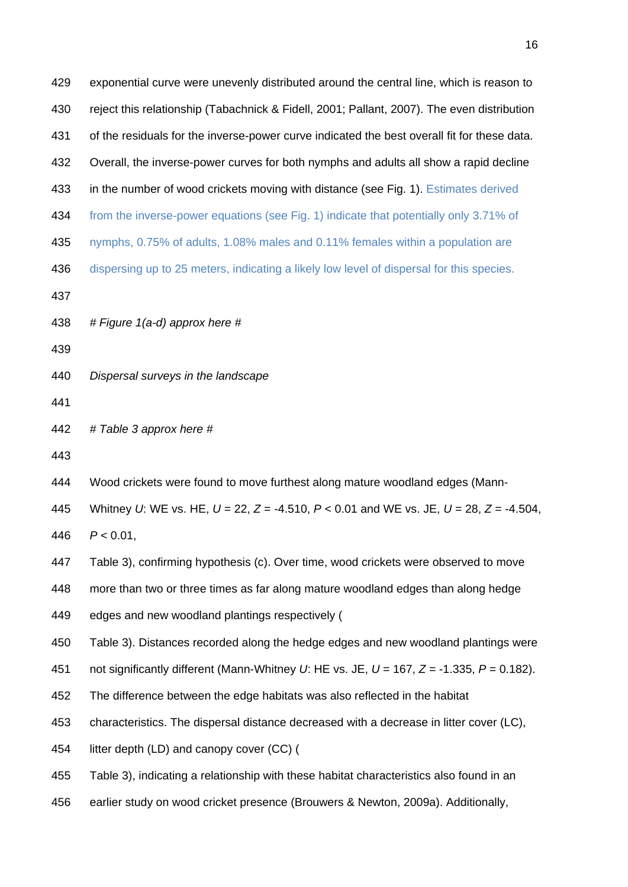| 429 | exponential curve were unevenly distributed around the central line, which is reason to             |
|-----|-----------------------------------------------------------------------------------------------------|
| 430 | reject this relationship (Tabachnick & Fidell, 2001; Pallant, 2007). The even distribution          |
| 431 | of the residuals for the inverse-power curve indicated the best overall fit for these data.         |
| 432 | Overall, the inverse-power curves for both nymphs and adults all show a rapid decline               |
| 433 | in the number of wood crickets moving with distance (see Fig. 1). Estimates derived                 |
| 434 | from the inverse-power equations (see Fig. 1) indicate that potentially only 3.71% of               |
| 435 | nymphs, 0.75% of adults, 1.08% males and 0.11% females within a population are                      |
| 436 | dispersing up to 25 meters, indicating a likely low level of dispersal for this species.            |
| 437 |                                                                                                     |
| 438 | # Figure 1(a-d) approx here #                                                                       |
| 439 |                                                                                                     |
| 440 | Dispersal surveys in the landscape                                                                  |
| 441 |                                                                                                     |
| 442 | # Table 3 approx here #                                                                             |
| 443 |                                                                                                     |
| 444 | Wood crickets were found to move furthest along mature woodland edges (Mann-                        |
| 445 | Whitney U: WE vs. HE, $U = 22$ , $Z = -4.510$ , $P < 0.01$ and WE vs. JE, $U = 28$ , $Z = -4.504$ , |
| 446 | $P < 0.01$ ,                                                                                        |
| 447 | Table 3), confirming hypothesis (c). Over time, wood crickets were observed to move                 |
| 448 | more than two or three times as far along mature woodland edges than along hedge                    |
| 449 | edges and new woodland plantings respectively (                                                     |
| 450 | Table 3). Distances recorded along the hedge edges and new woodland plantings were                  |
| 451 | not significantly different (Mann-Whitney U: HE vs. JE, $U = 167$ , $Z = -1.335$ , $P = 0.182$ ).   |
| 452 | The difference between the edge habitats was also reflected in the habitat                          |
| 453 | characteristics. The dispersal distance decreased with a decrease in litter cover (LC),             |
| 454 | litter depth (LD) and canopy cover (CC) (                                                           |
| 455 | Table 3), indicating a relationship with these habitat characteristics also found in an             |
| 456 | earlier study on wood cricket presence (Brouwers & Newton, 2009a). Additionally,                    |
|     |                                                                                                     |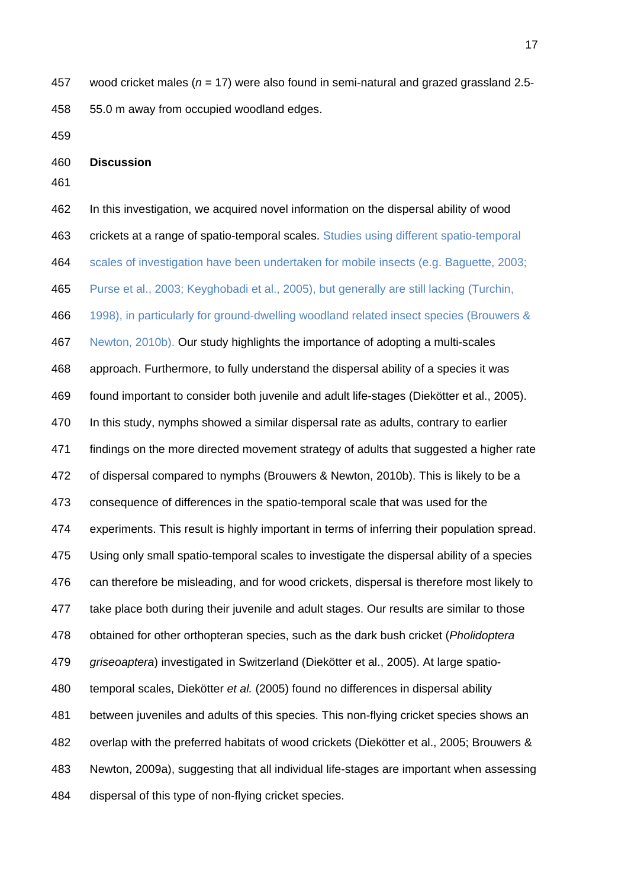457 wood cricket males (*n* = 17) were also found in semi-natural and grazed grassland 2.5- 458 55.0 m away from occupied woodland edges.

459

460 **Discussion** 

461

462 In this investigation, we acquired novel information on the dispersal ability of wood

463 crickets at a range of spatio-temporal scales. Studies using different spatio-temporal

464 scales of investigation have been undertaken for mobile insects (e.g. Baguette, 2003;

465 Purse et al., 2003; Keyghobadi et al., 2005), but generally are still lacking (Turchin,

466 1998), in particularly for ground-dwelling woodland related insect species (Brouwers &

467 Newton, 2010b). Our study highlights the importance of adopting a multi-scales

468 approach. Furthermore, to fully understand the dispersal ability of a species it was

469 found important to consider both juvenile and adult life-stages (Diekötter et al., 2005).

470 In this study, nymphs showed a similar dispersal rate as adults, contrary to earlier

471 findings on the more directed movement strategy of adults that suggested a higher rate

472 of dispersal compared to nymphs (Brouwers & Newton, 2010b). This is likely to be a

473 consequence of differences in the spatio-temporal scale that was used for the

474 experiments. This result is highly important in terms of inferring their population spread.

475 Using only small spatio-temporal scales to investigate the dispersal ability of a species

476 can therefore be misleading, and for wood crickets, dispersal is therefore most likely to

477 take place both during their juvenile and adult stages. Our results are similar to those

478 obtained for other orthopteran species, such as the dark bush cricket (*Pholidoptera* 

479 *griseoaptera*) investigated in Switzerland (Diekötter et al., 2005). At large spatio-

480 temporal scales, Diekötter *et al.* (2005) found no differences in dispersal ability

481 between juveniles and adults of this species. This non-flying cricket species shows an 482 overlap with the preferred habitats of wood crickets (Diekötter et al., 2005; Brouwers & 483 Newton, 2009a), suggesting that all individual life-stages are important when assessing

484 dispersal of this type of non-flying cricket species.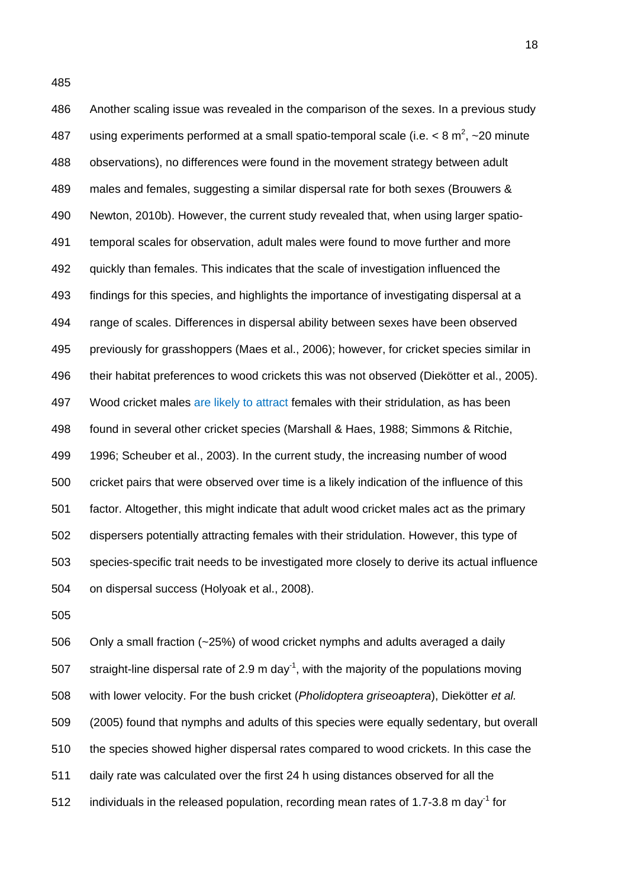486 Another scaling issue was revealed in the comparison of the sexes. In a previous study 487 using experiments performed at a small spatio-temporal scale (i.e.  $<$  8 m<sup>2</sup>,  $\sim$  20 minute 488 observations), no differences were found in the movement strategy between adult 489 males and females, suggesting a similar dispersal rate for both sexes (Brouwers & 490 Newton, 2010b). However, the current study revealed that, when using larger spatio-491 temporal scales for observation, adult males were found to move further and more 492 quickly than females. This indicates that the scale of investigation influenced the 493 findings for this species, and highlights the importance of investigating dispersal at a 494 range of scales. Differences in dispersal ability between sexes have been observed 495 previously for grasshoppers (Maes et al., 2006); however, for cricket species similar in 496 their habitat preferences to wood crickets this was not observed (Diekötter et al., 2005). 497 Wood cricket males are likely to attract females with their stridulation, as has been 498 found in several other cricket species (Marshall & Haes, 1988; Simmons & Ritchie, 499 1996; Scheuber et al., 2003). In the current study, the increasing number of wood 500 cricket pairs that were observed over time is a likely indication of the influence of this 501 factor. Altogether, this might indicate that adult wood cricket males act as the primary 502 dispersers potentially attracting females with their stridulation. However, this type of 503 species-specific trait needs to be investigated more closely to derive its actual influence 504 on dispersal success (Holyoak et al., 2008).

505

506 Only a small fraction (~25%) of wood cricket nymphs and adults averaged a daily 507 straight-line dispersal rate of 2.9 m day<sup>-1</sup>, with the majority of the populations moving 508 with lower velocity. For the bush cricket (*Pholidoptera griseoaptera*), Diekötter *et al.* 509 (2005) found that nymphs and adults of this species were equally sedentary, but overall 510 the species showed higher dispersal rates compared to wood crickets. In this case the 511 daily rate was calculated over the first 24 h using distances observed for all the 512 individuals in the released population, recording mean rates of 1.7-3.8 m day<sup>-1</sup> for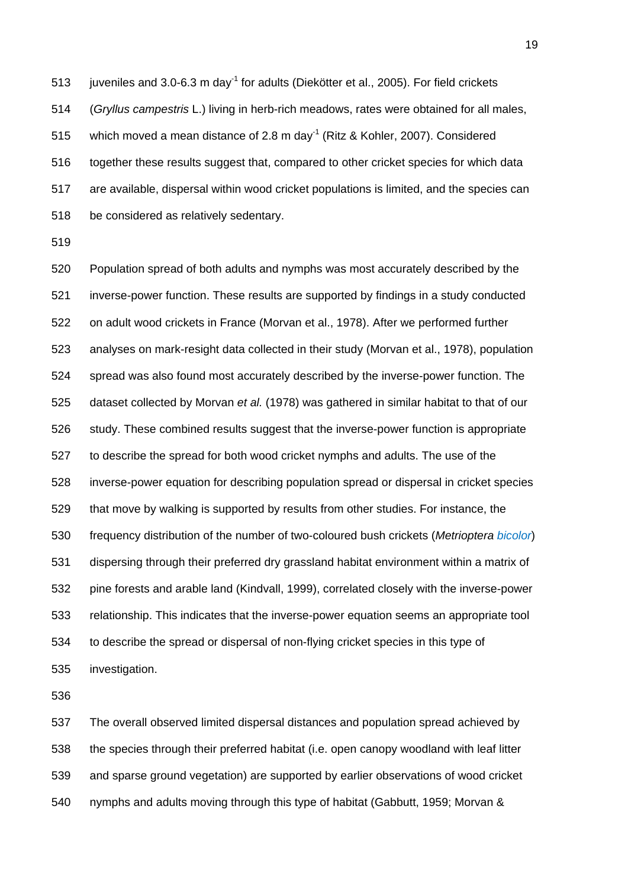513 juveniles and 3.0-6.3 m day<sup>-1</sup> for adults (Diekötter et al., 2005). For field crickets 514 (*Gryllus campestris* L.) living in herb-rich meadows, rates were obtained for all males, 515 which moved a mean distance of 2.8 m day<sup>-1</sup> (Ritz & Kohler, 2007). Considered 516 together these results suggest that, compared to other cricket species for which data 517 are available, dispersal within wood cricket populations is limited, and the species can 518 be considered as relatively sedentary.

519

520 Population spread of both adults and nymphs was most accurately described by the 521 inverse-power function. These results are supported by findings in a study conducted 522 on adult wood crickets in France (Morvan et al., 1978). After we performed further 523 analyses on mark-resight data collected in their study (Morvan et al., 1978), population 524 spread was also found most accurately described by the inverse-power function. The 525 dataset collected by Morvan *et al.* (1978) was gathered in similar habitat to that of our 526 study. These combined results suggest that the inverse-power function is appropriate 527 to describe the spread for both wood cricket nymphs and adults. The use of the 528 inverse-power equation for describing population spread or dispersal in cricket species 529 that move by walking is supported by results from other studies. For instance, the 530 frequency distribution of the number of two-coloured bush crickets (*Metrioptera bicolor*) 531 dispersing through their preferred dry grassland habitat environment within a matrix of 532 pine forests and arable land (Kindvall, 1999), correlated closely with the inverse-power 533 relationship. This indicates that the inverse-power equation seems an appropriate tool 534 to describe the spread or dispersal of non-flying cricket species in this type of 535 investigation.

536

537 The overall observed limited dispersal distances and population spread achieved by 538 the species through their preferred habitat (i.e. open canopy woodland with leaf litter 539 and sparse ground vegetation) are supported by earlier observations of wood cricket 540 nymphs and adults moving through this type of habitat (Gabbutt, 1959; Morvan &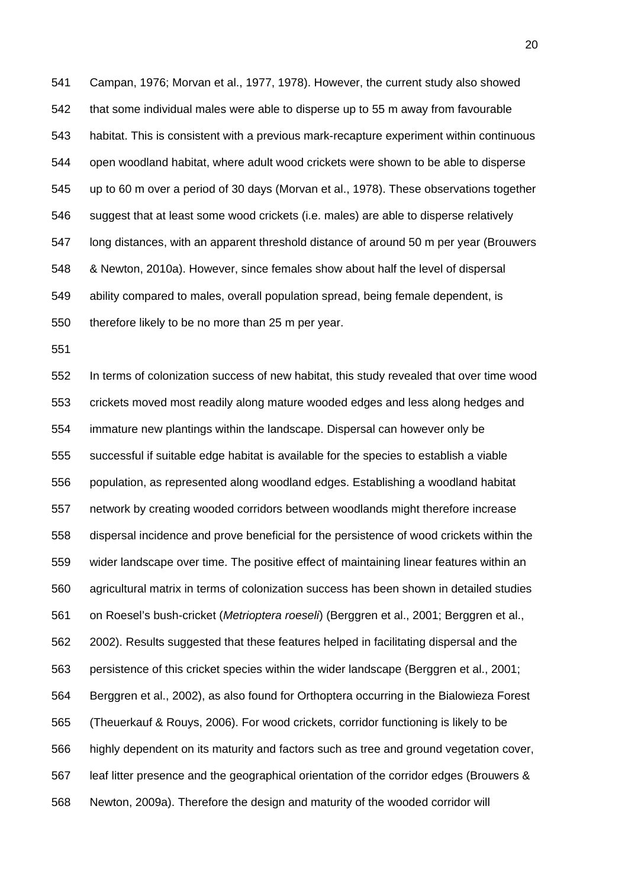541 Campan, 1976; Morvan et al., 1977, 1978). However, the current study also showed 542 that some individual males were able to disperse up to 55 m away from favourable 543 habitat. This is consistent with a previous mark-recapture experiment within continuous 544 open woodland habitat, where adult wood crickets were shown to be able to disperse 545 up to 60 m over a period of 30 days (Morvan et al., 1978). These observations together 546 suggest that at least some wood crickets (i.e. males) are able to disperse relatively 547 long distances, with an apparent threshold distance of around 50 m per year (Brouwers 548 & Newton, 2010a). However, since females show about half the level of dispersal 549 ability compared to males, overall population spread, being female dependent, is 550 therefore likely to be no more than 25 m per year.

551

552 In terms of colonization success of new habitat, this study revealed that over time wood 553 crickets moved most readily along mature wooded edges and less along hedges and 554 immature new plantings within the landscape. Dispersal can however only be 555 successful if suitable edge habitat is available for the species to establish a viable 556 population, as represented along woodland edges. Establishing a woodland habitat 557 network by creating wooded corridors between woodlands might therefore increase 558 dispersal incidence and prove beneficial for the persistence of wood crickets within the 559 wider landscape over time. The positive effect of maintaining linear features within an 560 agricultural matrix in terms of colonization success has been shown in detailed studies 561 on Roesel's bush-cricket (*Metrioptera roeseli*) (Berggren et al., 2001; Berggren et al., 562 2002). Results suggested that these features helped in facilitating dispersal and the 563 persistence of this cricket species within the wider landscape (Berggren et al., 2001; 564 Berggren et al., 2002), as also found for Orthoptera occurring in the Bialowieza Forest 565 (Theuerkauf & Rouys, 2006). For wood crickets, corridor functioning is likely to be 566 highly dependent on its maturity and factors such as tree and ground vegetation cover, 567 leaf litter presence and the geographical orientation of the corridor edges (Brouwers & 568 Newton, 2009a). Therefore the design and maturity of the wooded corridor will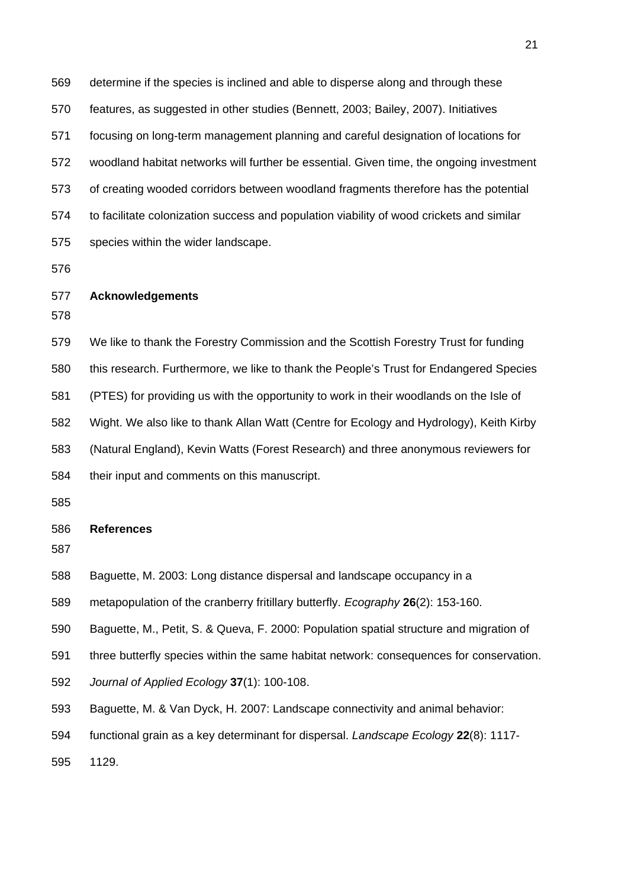569 determine if the species is inclined and able to disperse along and through these 570 features, as suggested in other studies (Bennett, 2003; Bailey, 2007). Initiatives 571 focusing on long-term management planning and careful designation of locations for 572 woodland habitat networks will further be essential. Given time, the ongoing investment 573 of creating wooded corridors between woodland fragments therefore has the potential 574 to facilitate colonization success and population viability of wood crickets and similar 575 species within the wider landscape.

576

### 577 **Acknowledgements**

578

579 We like to thank the Forestry Commission and the Scottish Forestry Trust for funding 580 this research. Furthermore, we like to thank the People's Trust for Endangered Species 581 (PTES) for providing us with the opportunity to work in their woodlands on the Isle of 582 Wight. We also like to thank Allan Watt (Centre for Ecology and Hydrology), Keith Kirby 583 (Natural England), Kevin Watts (Forest Research) and three anonymous reviewers for 584 their input and comments on this manuscript.

585

#### 586 **References**

587

- 588 Baguette, M. 2003: Long distance dispersal and landscape occupancy in a
- 589 metapopulation of the cranberry fritillary butterfly. *Ecography* **26**(2): 153-160.

590 Baguette, M., Petit, S. & Queva, F. 2000: Population spatial structure and migration of

- 591 three butterfly species within the same habitat network: consequences for conservation.
- 592 *Journal of Applied Ecology* **37**(1): 100-108.
- 593 Baguette, M. & Van Dyck, H. 2007: Landscape connectivity and animal behavior:
- 594 functional grain as a key determinant for dispersal. *Landscape Ecology* **22**(8): 1117-

595 1129.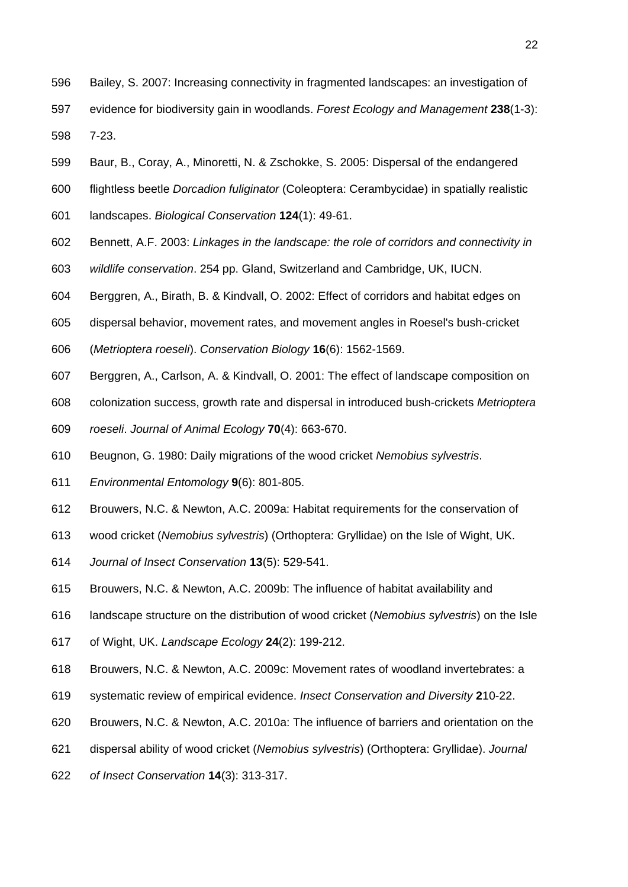- 596 Bailey, S. 2007: Increasing connectivity in fragmented landscapes: an investigation of
- 597 evidence for biodiversity gain in woodlands. *Forest Ecology and Management* **238**(1-3): 598 7-23.
- 599 Baur, B., Coray, A., Minoretti, N. & Zschokke, S. 2005: Dispersal of the endangered
- 600 flightless beetle *Dorcadion fuliginator* (Coleoptera: Cerambycidae) in spatially realistic
- 601 landscapes. *Biological Conservation* **124**(1): 49-61.
- 602 Bennett, A.F. 2003: *Linkages in the landscape: the role of corridors and connectivity in*
- 603 *wildlife conservation*. 254 pp. Gland, Switzerland and Cambridge, UK, IUCN.
- 604 Berggren, A., Birath, B. & Kindvall, O. 2002: Effect of corridors and habitat edges on
- 605 dispersal behavior, movement rates, and movement angles in Roesel's bush-cricket
- 606 (*Metrioptera roeseli*). *Conservation Biology* **16**(6): 1562-1569.
- 607 Berggren, A., Carlson, A. & Kindvall, O. 2001: The effect of landscape composition on
- 608 colonization success, growth rate and dispersal in introduced bush-crickets *Metrioptera*
- 609 *roeseli*. *Journal of Animal Ecology* **70**(4): 663-670.
- 610 Beugnon, G. 1980: Daily migrations of the wood cricket *Nemobius sylvestris*.
- 611 *Environmental Entomology* **9**(6): 801-805.
- 612 Brouwers, N.C. & Newton, A.C. 2009a: Habitat requirements for the conservation of
- 613 wood cricket (*Nemobius sylvestris*) (Orthoptera: Gryllidae) on the Isle of Wight, UK.
- 614 *Journal of Insect Conservation* **13**(5): 529-541.
- 615 Brouwers, N.C. & Newton, A.C. 2009b: The influence of habitat availability and
- 616 landscape structure on the distribution of wood cricket (*Nemobius sylvestris*) on the Isle
- 617 of Wight, UK. *Landscape Ecology* **24**(2): 199-212.
- 618 Brouwers, N.C. & Newton, A.C. 2009c: Movement rates of woodland invertebrates: a
- 619 systematic review of empirical evidence. *Insect Conservation and Diversity* **2**10-22.
- 620 Brouwers, N.C. & Newton, A.C. 2010a: The influence of barriers and orientation on the
- 621 dispersal ability of wood cricket (*Nemobius sylvestris*) (Orthoptera: Gryllidae). *Journal*
- 622 *of Insect Conservation* **14**(3): 313-317.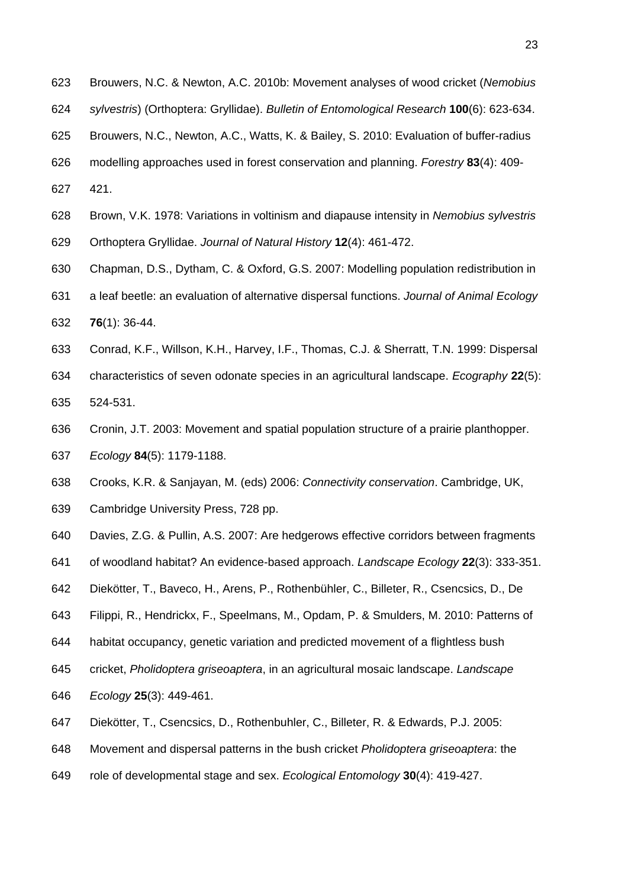- 623 Brouwers, N.C. & Newton, A.C. 2010b: Movement analyses of wood cricket (*Nemobius*
- 624 *sylvestris*) (Orthoptera: Gryllidae). *Bulletin of Entomological Research* **100**(6): 623-634.
- 625 Brouwers, N.C., Newton, A.C., Watts, K. & Bailey, S. 2010: Evaluation of buffer-radius
- 626 modelling approaches used in forest conservation and planning. *Forestry* **83**(4): 409-
- 627 421.
- 628 Brown, V.K. 1978: Variations in voltinism and diapause intensity in *Nemobius sylvestris*
- 629 Orthoptera Gryllidae. *Journal of Natural History* **12**(4): 461-472.
- 630 Chapman, D.S., Dytham, C. & Oxford, G.S. 2007: Modelling population redistribution in
- 631 a leaf beetle: an evaluation of alternative dispersal functions. *Journal of Animal Ecology* 632 **76**(1): 36-44.
- 633 Conrad, K.F., Willson, K.H., Harvey, I.F., Thomas, C.J. & Sherratt, T.N. 1999: Dispersal 634 characteristics of seven odonate species in an agricultural landscape. *Ecography* **22**(5): 635 524-531.
- 636 Cronin, J.T. 2003: Movement and spatial population structure of a prairie planthopper.
- 637 *Ecology* **84**(5): 1179-1188.
- 638 Crooks, K.R. & Sanjayan, M. (eds) 2006: *Connectivity conservation*. Cambridge, UK,
- 639 Cambridge University Press, 728 pp.
- 640 Davies, Z.G. & Pullin, A.S. 2007: Are hedgerows effective corridors between fragments
- 641 of woodland habitat? An evidence-based approach. *Landscape Ecology* **22**(3): 333-351.
- 642 Diekötter, T., Baveco, H., Arens, P., Rothenbühler, C., Billeter, R., Csencsics, D., De
- 643 Filippi, R., Hendrickx, F., Speelmans, M., Opdam, P. & Smulders, M. 2010: Patterns of
- 644 habitat occupancy, genetic variation and predicted movement of a flightless bush
- 645 cricket, *Pholidoptera griseoaptera*, in an agricultural mosaic landscape. *Landscape*
- 646 *Ecology* **25**(3): 449-461.
- 647 Diekötter, T., Csencsics, D., Rothenbuhler, C., Billeter, R. & Edwards, P.J. 2005:
- 648 Movement and dispersal patterns in the bush cricket *Pholidoptera griseoaptera*: the
- 649 role of developmental stage and sex. *Ecological Entomology* **30**(4): 419-427.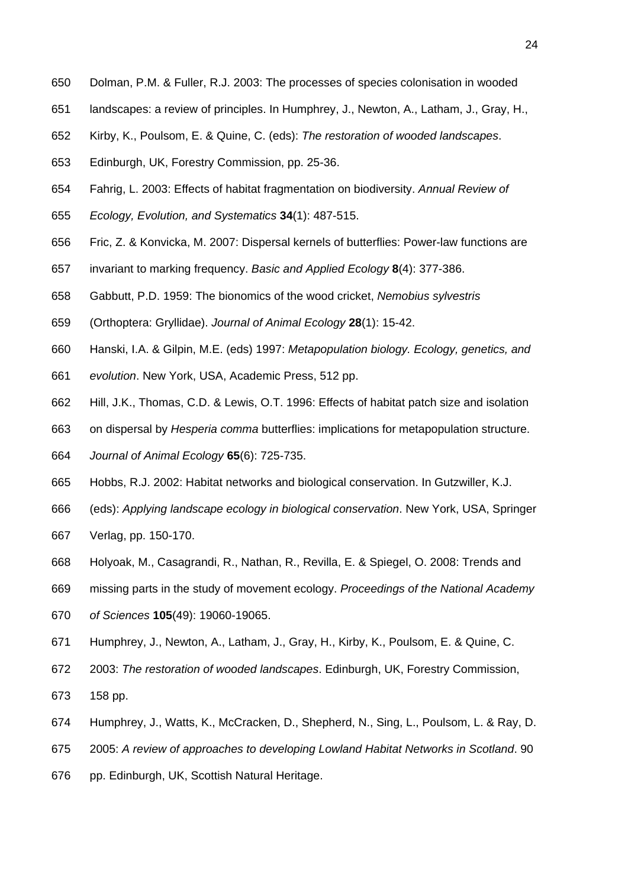- 650 Dolman, P.M. & Fuller, R.J. 2003: The processes of species colonisation in wooded
- 651 landscapes: a review of principles. In Humphrey, J., Newton, A., Latham, J., Gray, H.,
- 652 Kirby, K., Poulsom, E. & Quine, C. (eds): *The restoration of wooded landscapes*.
- 653 Edinburgh, UK, Forestry Commission, pp. 25-36.
- 654 Fahrig, L. 2003: Effects of habitat fragmentation on biodiversity. *Annual Review of*
- 655 *Ecology, Evolution, and Systematics* **34**(1): 487-515.
- 656 Fric, Z. & Konvicka, M. 2007: Dispersal kernels of butterflies: Power-law functions are
- 657 invariant to marking frequency. *Basic and Applied Ecology* **8**(4): 377-386.
- 658 Gabbutt, P.D. 1959: The bionomics of the wood cricket, *Nemobius sylvestris*
- 659 (Orthoptera: Gryllidae). *Journal of Animal Ecology* **28**(1): 15-42.
- 660 Hanski, I.A. & Gilpin, M.E. (eds) 1997: *Metapopulation biology. Ecology, genetics, and*
- 661 *evolution*. New York, USA, Academic Press, 512 pp.
- 662 Hill, J.K., Thomas, C.D. & Lewis, O.T. 1996: Effects of habitat patch size and isolation
- 663 on dispersal by *Hesperia comma* butterflies: implications for metapopulation structure.
- 664 *Journal of Animal Ecology* **65**(6): 725-735.
- 665 Hobbs, R.J. 2002: Habitat networks and biological conservation. In Gutzwiller, K.J.
- 666 (eds): *Applying landscape ecology in biological conservation*. New York, USA, Springer
- 667 Verlag, pp. 150-170.
- 668 Holyoak, M., Casagrandi, R., Nathan, R., Revilla, E. & Spiegel, O. 2008: Trends and
- 669 missing parts in the study of movement ecology. *Proceedings of the National Academy*
- 670 *of Sciences* **105**(49): 19060-19065.
- 671 Humphrey, J., Newton, A., Latham, J., Gray, H., Kirby, K., Poulsom, E. & Quine, C.
- 672 2003: *The restoration of wooded landscapes*. Edinburgh, UK, Forestry Commission,
- 673 158 pp.
- 674 Humphrey, J., Watts, K., McCracken, D., Shepherd, N., Sing, L., Poulsom, L. & Ray, D.
- 675 2005: *A review of approaches to developing Lowland Habitat Networks in Scotland*. 90
- 676 pp. Edinburgh, UK, Scottish Natural Heritage.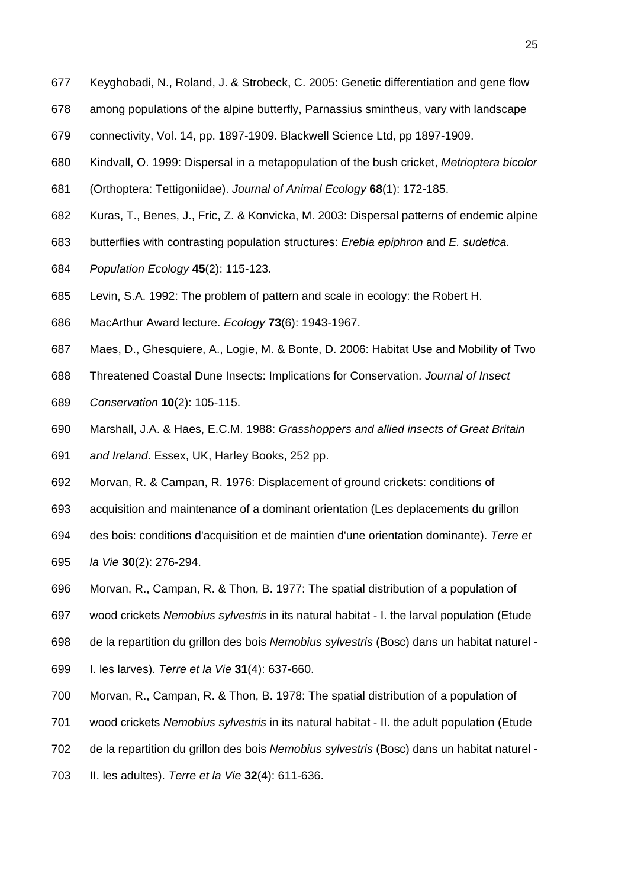- 677 Keyghobadi, N., Roland, J. & Strobeck, C. 2005: Genetic differentiation and gene flow
- 678 among populations of the alpine butterfly, Parnassius smintheus, vary with landscape
- 679 connectivity, Vol. 14, pp. 1897-1909. Blackwell Science Ltd, pp 1897-1909.
- 680 Kindvall, O. 1999: Dispersal in a metapopulation of the bush cricket, *Metrioptera bicolor*
- 681 (Orthoptera: Tettigoniidae). *Journal of Animal Ecology* **68**(1): 172-185.
- 682 Kuras, T., Benes, J., Fric, Z. & Konvicka, M. 2003: Dispersal patterns of endemic alpine
- 683 butterflies with contrasting population structures: *Erebia epiphron* and *E. sudetica*.
- 684 *Population Ecology* **45**(2): 115-123.
- 685 Levin, S.A. 1992: The problem of pattern and scale in ecology: the Robert H.
- 686 MacArthur Award lecture. *Ecology* **73**(6): 1943-1967.
- 687 Maes, D., Ghesquiere, A., Logie, M. & Bonte, D. 2006: Habitat Use and Mobility of Two
- 688 Threatened Coastal Dune Insects: Implications for Conservation. *Journal of Insect*
- 689 *Conservation* **10**(2): 105-115.
- 690 Marshall, J.A. & Haes, E.C.M. 1988: *Grasshoppers and allied insects of Great Britain*  691 *and Ireland*. Essex, UK, Harley Books, 252 pp.
- 692 Morvan, R. & Campan, R. 1976: Displacement of ground crickets: conditions of
- 693 acquisition and maintenance of a dominant orientation (Les deplacements du grillon
- 694 des bois: conditions d'acquisition et de maintien d'une orientation dominante). *Terre et*
- 695 *la Vie* **30**(2): 276-294.
- 696 Morvan, R., Campan, R. & Thon, B. 1977: The spatial distribution of a population of
- 697 wood crickets *Nemobius sylvestris* in its natural habitat I. the larval population (Etude
- 698 de la repartition du grillon des bois *Nemobius sylvestris* (Bosc) dans un habitat naturel -
- 699 I. les larves). *Terre et la Vie* **31**(4): 637-660.
- 700 Morvan, R., Campan, R. & Thon, B. 1978: The spatial distribution of a population of
- 701 wood crickets *Nemobius sylvestris* in its natural habitat II. the adult population (Etude
- 702 de la repartition du grillon des bois *Nemobius sylvestris* (Bosc) dans un habitat naturel -
- 703 II. les adultes). *Terre et la Vie* **32**(4): 611-636.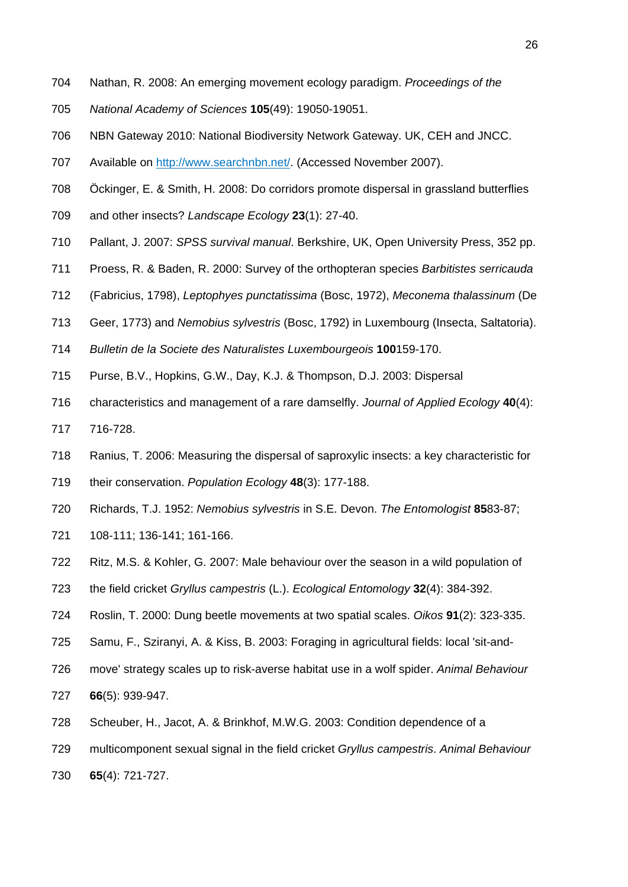- 704 Nathan, R. 2008: An emerging movement ecology paradigm. *Proceedings of the*
- 705 *National Academy of Sciences* **105**(49): 19050-19051.
- 706 NBN Gateway 2010: National Biodiversity Network Gateway. UK, CEH and JNCC.
- 707 Available on http://www.searchnbn.net/. (Accessed November 2007).
- 708 Öckinger, E. & Smith, H. 2008: Do corridors promote dispersal in grassland butterflies
- 709 and other insects? *Landscape Ecology* **23**(1): 27-40.
- 710 Pallant, J. 2007: *SPSS survival manual*. Berkshire, UK, Open University Press, 352 pp.
- 711 Proess, R. & Baden, R. 2000: Survey of the orthopteran species *Barbitistes serricauda*
- 712 (Fabricius, 1798), *Leptophyes punctatissima* (Bosc, 1972), *Meconema thalassinum* (De
- 713 Geer, 1773) and *Nemobius sylvestris* (Bosc, 1792) in Luxembourg (Insecta, Saltatoria).
- 714 *Bulletin de la Societe des Naturalistes Luxembourgeois* **100**159-170.
- 715 Purse, B.V., Hopkins, G.W., Day, K.J. & Thompson, D.J. 2003: Dispersal
- 716 characteristics and management of a rare damselfly. *Journal of Applied Ecology* **40**(4):
- 717 716-728.
- 718 Ranius, T. 2006: Measuring the dispersal of saproxylic insects: a key characteristic for
- 719 their conservation. *Population Ecology* **48**(3): 177-188.
- 720 Richards, T.J. 1952: *Nemobius sylvestris* in S.E. Devon. *The Entomologist* **85**83-87;
- 721 108-111; 136-141; 161-166.
- 722 Ritz, M.S. & Kohler, G. 2007: Male behaviour over the season in a wild population of
- 723 the field cricket *Gryllus campestris* (L.). *Ecological Entomology* **32**(4): 384-392.
- 724 Roslin, T. 2000: Dung beetle movements at two spatial scales. *Oikos* **91**(2): 323-335.
- 725 Samu, F., Sziranyi, A. & Kiss, B. 2003: Foraging in agricultural fields: local 'sit-and-
- 726 move' strategy scales up to risk-averse habitat use in a wolf spider. *Animal Behaviour*
- 727 **66**(5): 939-947.
- 728 Scheuber, H., Jacot, A. & Brinkhof, M.W.G. 2003: Condition dependence of a
- 729 multicomponent sexual signal in the field cricket *Gryllus campestris*. *Animal Behaviour*
- 730 **65**(4): 721-727.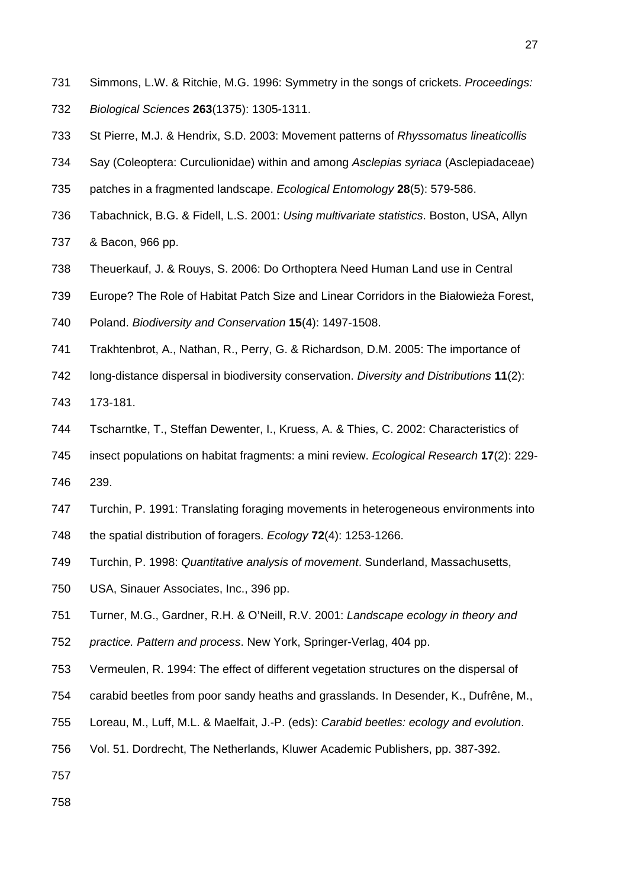- 731 Simmons, L.W. & Ritchie, M.G. 1996: Symmetry in the songs of crickets. *Proceedings:*  732 *Biological Sciences* **263**(1375): 1305-1311.
- 733 St Pierre, M.J. & Hendrix, S.D. 2003: Movement patterns of *Rhyssomatus lineaticollis*
- 734 Say (Coleoptera: Curculionidae) within and among *Asclepias syriaca* (Asclepiadaceae)
- 735 patches in a fragmented landscape. *Ecological Entomology* **28**(5): 579-586.
- 736 Tabachnick, B.G. & Fidell, L.S. 2001: *Using multivariate statistics*. Boston, USA, Allyn
- 737 & Bacon, 966 pp.
- 738 Theuerkauf, J. & Rouys, S. 2006: Do Orthoptera Need Human Land use in Central
- 739 Europe? The Role of Habitat Patch Size and Linear Corridors in the Białowieża Forest,
- 740 Poland. *Biodiversity and Conservation* **15**(4): 1497-1508.
- 741 Trakhtenbrot, A., Nathan, R., Perry, G. & Richardson, D.M. 2005: The importance of
- 742 long-distance dispersal in biodiversity conservation. *Diversity and Distributions* **11**(2):
- 743 173-181.
- 744 Tscharntke, T., Steffan Dewenter, I., Kruess, A. & Thies, C. 2002: Characteristics of
- 745 insect populations on habitat fragments: a mini review. *Ecological Research* **17**(2): 229-
- 746 239.
- 747 Turchin, P. 1991: Translating foraging movements in heterogeneous environments into
- 748 the spatial distribution of foragers. *Ecology* **72**(4): 1253-1266.
- 749 Turchin, P. 1998: *Quantitative analysis of movement*. Sunderland, Massachusetts,
- 750 USA, Sinauer Associates, Inc., 396 pp.
- 751 Turner, M.G., Gardner, R.H. & O'Neill, R.V. 2001: *Landscape ecology in theory and*
- 752 *practice. Pattern and process*. New York, Springer-Verlag, 404 pp.
- 753 Vermeulen, R. 1994: The effect of different vegetation structures on the dispersal of
- 754 carabid beetles from poor sandy heaths and grasslands. In Desender, K., Dufrêne, M.,
- 755 Loreau, M., Luff, M.L. & Maelfait, J.-P. (eds): *Carabid beetles: ecology and evolution*.
- 756 Vol. 51. Dordrecht, The Netherlands, Kluwer Academic Publishers, pp. 387-392.
- 757
- 758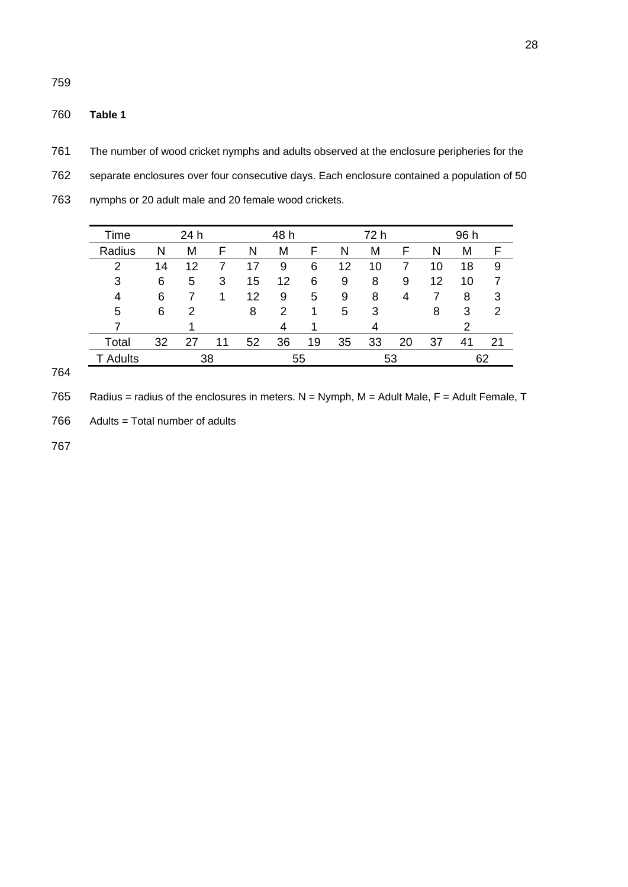760 **Table 1**

759

761 The number of wood cricket nymphs and adults observed at the enclosure peripheries for the 762 separate enclosures over four consecutive days. Each enclosure contained a population of 50

| 763 | nymphs or 20 adult male and 20 female wood crickets. |
|-----|------------------------------------------------------|
|-----|------------------------------------------------------|

| Time     |    | 24 h |    |    | 48 h |    |    | 72 h |    |    | 96 h |    |
|----------|----|------|----|----|------|----|----|------|----|----|------|----|
| Radius   | N  | M    | F  | Ν  | M    | F  | N  | M    | F  | Ν  | M    |    |
| 2        | 14 | 12   |    |    | 9    | 6  | 12 | 10   |    | 10 | 18   | 9  |
| 3        | 6  | 5    | 3  | 15 | 12   | 6  | 9  | 8    | 9  | 12 | 10   |    |
| 4        | 6  |      |    | 12 | 9    | 5  | 9  | 8    | 4  |    | 8    | 3  |
| 5        | 6  | 2    |    | 8  | 2    |    | 5  | 3    |    | 8  | 3    | 2  |
|          |    |      |    |    | 4    |    |    | 4    |    |    | າ    |    |
| Total    | 32 | 27   | 11 | 52 | 36   | 19 | 35 | 33   | 20 | 37 | 41   | 21 |
| T Adults | 38 |      |    | 55 |      |    | 53 |      |    |    | 62   |    |

764

765 Radius = radius of the enclosures in meters. N = Nymph, M = Adult Male, F = Adult Female, T

766 Adults = Total number of adults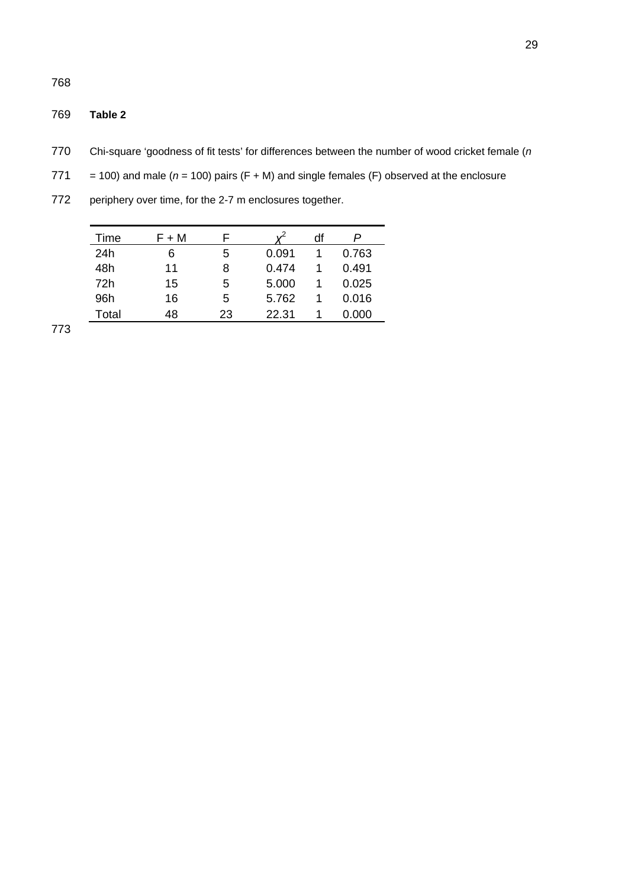# 769 **Table 2**

- 770 Chi-square 'goodness of fit tests' for differences between the number of wood cricket female (*n*
- 771 = 100) and male  $(n = 100)$  pairs  $(F + M)$  and single females  $(F)$  observed at the enclosure
- 772 periphery over time, for the 2-7 m enclosures together.

| Time  | $F + M$ |    |       | df |       |
|-------|---------|----|-------|----|-------|
| 24h   | 6       | 5  | 0.091 |    | 0.763 |
| 48h   | 11      | 8  | 0.474 |    | 0.491 |
| 72h   | 15      | 5  | 5.000 |    | 0.025 |
| 96h   | 16      | 5  | 5.762 |    | 0.016 |
| Total | 48      | 23 | 22.31 |    | 0.000 |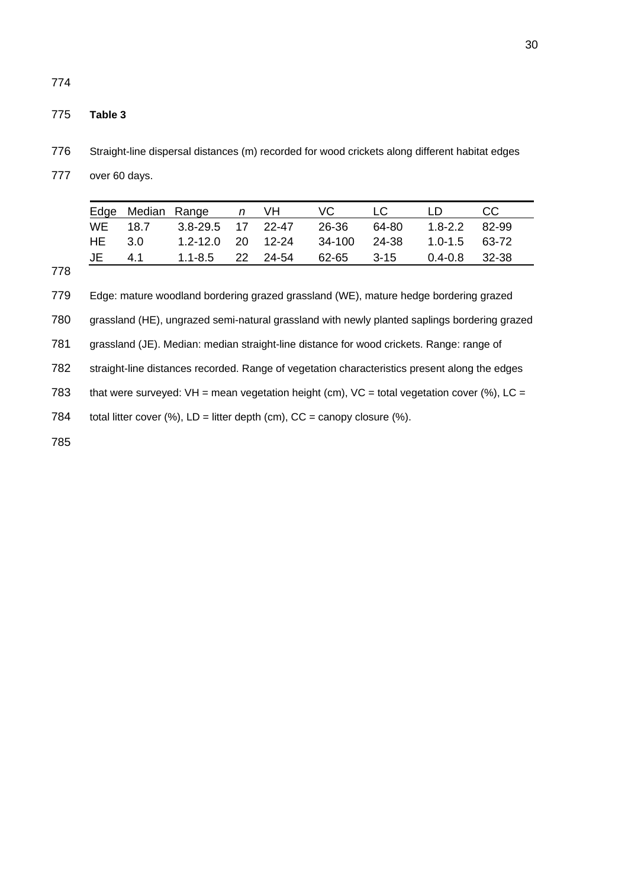### 775 **Table 3**

- 776 Straight-line dispersal distances (m) recorded for wood crickets along different habitat edges
- 777 over 60 days.

|        | Edge Median Range n VH VC LC LD                     |  |  | - CC |
|--------|-----------------------------------------------------|--|--|------|
|        | WE 18.7 3.8-29.5 17 22-47 26-36 64-80 1.8-2.2 82-99 |  |  |      |
| HE 3.0 | 1.2-12.0 20 12-24 34-100 24-38 1.0-1.5 63-72        |  |  |      |
|        | JE 4.1 1.1-8.5 22 24-54 62-65 3-15 0.4-0.8 32-38    |  |  |      |

778

779 Edge: mature woodland bordering grazed grassland (WE), mature hedge bordering grazed

780 grassland (HE), ungrazed semi-natural grassland with newly planted saplings bordering grazed

781 grassland (JE). Median: median straight-line distance for wood crickets. Range: range of

782 straight-line distances recorded. Range of vegetation characteristics present along the edges

783 that were surveyed: VH = mean vegetation height (cm), VC = total vegetation cover (%), LC =

784 total litter cover  $(\%)$ , LD = litter depth (cm), CC = canopy closure  $(\%)$ .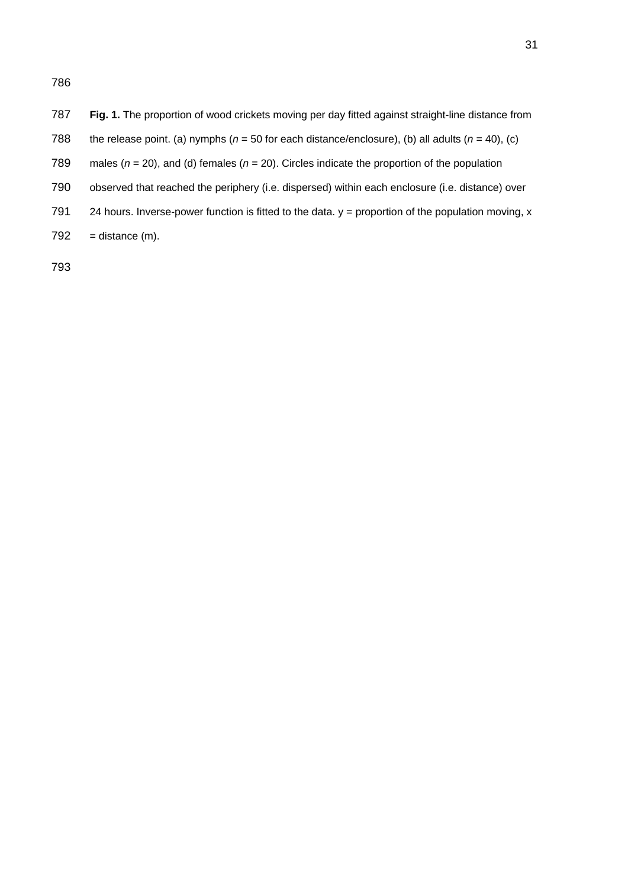- 787 **Fig. 1.** The proportion of wood crickets moving per day fitted against straight-line distance from
- 788 the release point. (a) nymphs ( $n = 50$  for each distance/enclosure), (b) all adults ( $n = 40$ ), (c)
- 789 males (*n* = 20), and (d) females (*n* = 20). Circles indicate the proportion of the population
- 790 observed that reached the periphery (i.e. dispersed) within each enclosure (i.e. distance) over
- 791 24 hours. Inverse-power function is fitted to the data.  $y =$  proportion of the population moving,  $x$
- $792 =$  distance  $(m)$ .